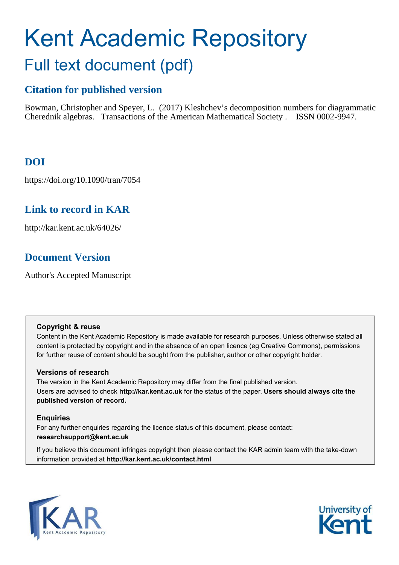# <span id="page-0-0"></span>Kent Academic Repository Full text document (pdf)

## **Citation for published version**

Bowman, Christopher and Speyer, L. (2017) Kleshchev's decomposition numbers for diagrammatic Cherednik algebras. Transactions of the American Mathematical Society . ISSN 0002-9947.

## **DOI**

https://doi.org/10.1090/tran/7054

## **Link to record in KAR**

http://kar.kent.ac.uk/64026/

## **Document Version**

Author's Accepted Manuscript

#### **Copyright & reuse**

Content in the Kent Academic Repository is made available for research purposes. Unless otherwise stated all content is protected by copyright and in the absence of an open licence (eg Creative Commons), permissions for further reuse of content should be sought from the publisher, author or other copyright holder.

### **Versions of research**

The version in the Kent Academic Repository may differ from the final published version. Users are advised to check **http://kar.kent.ac.uk** for the status of the paper. **Users should always cite the published version of record.**

### **Enquiries**

For any further enquiries regarding the licence status of this document, please contact: **researchsupport@kent.ac.uk**

If you believe this document infringes copyright then please contact the KAR admin team with the take-down information provided at **http://kar.kent.ac.uk/contact.html**



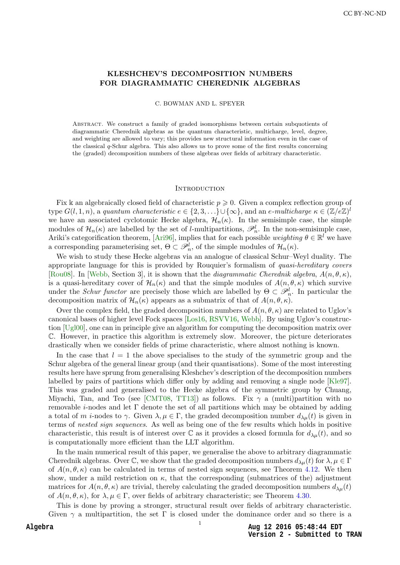#### <span id="page-1-2"></span>KLESHCHEV'S DECOMPOSITION NUMBERS FOR DIAGRAMMATIC CHEREDNIK ALGEBRAS

C. BOWMAN AND L. SPEYER

Abstract. We construct a family of graded isomorphisms between certain subquotients of diagrammatic Cherednik algebras as the quantum characteristic, multicharge, level, degree, and weighting are allowed to vary; this provides new structural information even in the case of the classical q-Schur algebra. This also allows us to prove some of the first results concerning the (graded) decomposition numbers of these algebras over fields of arbitrary characteristic.

#### **INTRODUCTION**

Fix k an algebraically closed field of characteristic  $p \geqslant 0$ . Given a complex reflection group of type  $G(l,1,n)$ , a quantum characteristic  $e \in \{2,3,\ldots\} \cup \{\infty\}$ , and an e-multicharge  $\kappa \in (\mathbb{Z}/e\mathbb{Z})^l$ we have an associated cyclotomic Hecke algebra,  $\mathcal{H}_n(\kappa)$ . In the semisimple case, the simple modules of  $\mathcal{H}_n(\kappa)$  are labelled by the set of *l*-multipartitions,  $\mathscr{P}_n^l$ . In the non-semisimple case, Ariki's categorification theorem, [\[Ari96\]](#page-30-0), implies that for each possible weighting  $\theta \in \mathbb{R}^l$  we have a corresponding parameterising set,  $\Theta \subset \mathcal{P}_n^l$ , of the simple modules of  $\mathcal{H}_n(\kappa)$ .

We wish to study these Hecke algebras via an analogue of classical Schur–Weyl duality. The appropriate language for this is provided by Rouquier's formalism of quasi-hereditary covers [\[Rou08\]](#page-31-0). In [\[Webb,](#page-31-1) Section 3], it is shown that the *diagrammatic Cherednik algebra*,  $A(n, \theta, \kappa)$ , is a quasi-hereditary cover of  $\mathcal{H}_n(\kappa)$  and that the simple modules of  $A(n, \theta, \kappa)$  which survive under the *Schur functor* are precisely those which are labelled by  $\Theta \subset \mathscr{P}_n^l$ . In particular the decomposition matrix of  $\mathcal{H}_n(\kappa)$  appears as a submatrix of that of  $A(n, \theta, \kappa)$ .

Over the complex field, the graded decomposition numbers of  $A(n, \theta, \kappa)$  are related to Uglov's canonical bases of higher level Fock spaces [\[Los16,](#page-31-2) [RSVV16,](#page-31-3) [Webb\]](#page-31-1). By using Uglov's construction [\[Ugl00\]](#page-31-4), one can in principle give an algorithm for computing the decomposition matrix over C. However, in practice this algorithm is extremely slow. Moreover, the picture deteriorates drastically when we consider fields of prime characteristic, where almost nothing is known.

<span id="page-1-0"></span>In the case that  $l = 1$  the above specialises to the study of the symmetric group and the Schur algebra of the general linear group (and their quantisations). Some of the most interesting results here have sprung from generalising Kleshchev's description of the decomposition numbers labelled by pairs of partitions which differ only by adding and removing a single node [\[Kle97\]](#page-31-5). This was graded and generalised to the Hecke algebra of the symmetric group by Chuang, Miyachi, Tan, and Teo (see [\[CMT08,](#page-30-1) [TT13\]](#page-31-6)) as follows. Fix  $\gamma$  a (multi)partition with no removable *i*-nodes and let  $\Gamma$  denote the set of all partitions which may be obtained by adding a total of m *i*-nodes to  $\gamma$ . Given  $\lambda, \mu \in \Gamma$ , the graded decomposition number  $d_{\lambda\mu}(t)$  is given in terms of nested sign sequences. As well as being one of the few results which holds in positive characteristic, this result is of interest over  $\mathbb C$  as it provides a closed formula for  $d_{\lambda\mu}(t)$ , and so is computationally more efficient than the LLT algorithm.

<span id="page-1-1"></span>In the main numerical result of this paper, we generalise the above to arbitrary diagrammatic Cherednik algebras. Over  $\mathbb{C}$ , we show that the graded decomposition numbers  $d_{\lambda,\mu}(t)$  for  $\lambda,\mu \in \Gamma$ of  $A(n, \theta, \kappa)$  can be calculated in terms of nested sign sequences, see Theorem [4.12.](#page-16-0) We then show, under a mild restriction on  $\kappa$ , that the corresponding (submatrices of the) adjustment matrices for  $A(n, \theta, \kappa)$  are trivial, thereby calculating the graded decomposition numbers  $d_{\lambda\mu}(t)$ of  $A(n, \theta, \kappa)$ , for  $\lambda, \mu \in \Gamma$ , over fields of arbitrary characteristic; see Theorem [4.30.](#page-26-0)

This is done by proving a stronger, structural result over fields of arbitrary characteristic. Given  $\gamma$  a multipartition, the set  $\Gamma$  is closed under the dominance order and so there is a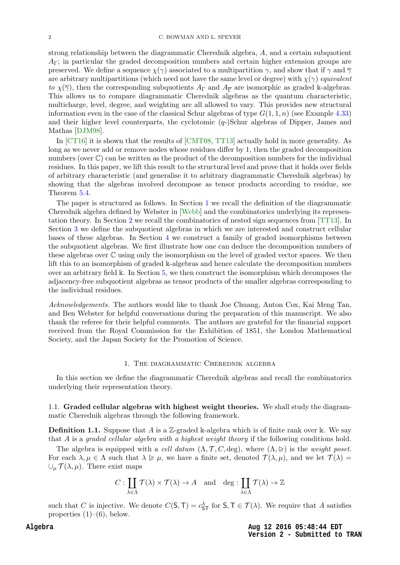<span id="page-2-1"></span>strong relationship between the diagrammatic Cherednik algebra, A, and a certain subquotient  $A_{\Gamma}$ ; in particular the graded decomposition numbers and certain higher extension groups are preserved. We define a sequence  $\chi(\gamma)$  associated to a multipartition  $\gamma$ , and show that if  $\gamma$  and  $\overline{\gamma}$ are arbitrary multipartitions (which need not have the same level or degree) with  $\chi(\gamma)$  equivalent to  $\chi(\overline{\gamma})$ , then the corresponding subquotients  $A_{\Gamma}$  and  $A_{\overline{\Gamma}}$  are isomorphic as graded k-algebras. This allows us to compare diagrammatic Cherednik algebras as the quantum characteristic, multicharge, level, degree, and weighting are all allowed to vary. This provides new structural information even in the case of the classical Schur algebras of type  $G(1,1,n)$  (see Example [4.33\)](#page-27-0) and their higher level counterparts, the cyclotomic  $(q-)$ Schur algebras of Dipper, James and Mathas [\[DJM98\]](#page-31-7).

In [\[CT16\]](#page-30-2) it is shown that the results of [\[CMT08,](#page-30-1) [TT13\]](#page-31-6) actually hold in more generality. As long as we never add or remove nodes whose residues differ by 1, then the graded decomposition numbers (over  $\mathbb{C}$ ) can be written as the product of the decomposition numbers for the individual residues. In this paper, we lift this result to the structural level and prove that it holds over fields of arbitrary characteristic (and generalise it to arbitrary diagrammatic Cherednik algebras) by showing that the algebras involved decompose as tensor products according to residue, see Theorem [5.4.](#page-29-0)

The paper is structured as follows. In Section [1](#page-1-0) we recall the definition of the diagrammatic Cherednik algebra defined by Webster in [\[Webb\]](#page-31-1) and the combinatorics underlying its representation theory. In Section [2](#page-8-0) we recall the combinatorics of nested sign sequences from [\[TT13\]](#page-31-6). In Section [3](#page-10-0) we define the subquotient algebras in which we are interested and construct cellular bases of these algebras. In Section [4](#page-11-0) we construct a family of graded isomorphisms between the subquotient algebras. We first illustrate how one can deduce the decomposition numbers of these algebras over C using only the isomorphism on the level of graded vector spaces. We then lift this to an isomorphism of graded k-algebras and hence calculate the decomposition numbers over an arbitrary field k. In Section [5,](#page-27-1) we then construct the isomorphism which decomposes the adjacency-free subquotient algebras as tensor products of the smaller algebras corresponding to the individual residues.

Acknowledgements. The authors would like to thank Joe Chuang, Anton Cox, Kai Meng Tan, and Ben Webster for helpful conversations during the preparation of this manuscript. We also thank the referee for their helpful comments. The authors are grateful for the financial support received from the Royal Commission for the Exhibition of 1851, the London Mathematical Society, and the Japan Society for the Promotion of Science.

#### 1. The diagrammatic Cherednik algebra

In this section we define the diagrammatic Cherednik algebras and recall the combinatorics underlying their representation theory.

1.1. Graded cellular algebras with highest weight theories. We shall study the diagrammatic Cherednik algebras through the following framework.

**Definition 1.1.** Suppose that A is a Z-graded k-algebra which is of finite rank over k. We say that A is a graded cellular algebra with a highest weight theory if the following conditions hold.

The algebra is equipped with a cell datum  $(\Lambda, \mathcal{T}, C, \text{deg})$ , where  $(\Lambda, \geq)$  is the weight poset. For each  $\lambda, \mu \in \Lambda$  such that  $\lambda \geq \mu$ , we have a finite set, denoted  $\mathcal{T}(\lambda, \mu)$ , and we let  $\mathcal{T}(\lambda)$  =  $\cup_{\mu} \mathcal{T}(\lambda, \mu)$ . There exist maps

$$
C: \coprod_{\lambda \in \Lambda} \mathcal{T}(\lambda) \times \mathcal{T}(\lambda) \to A \quad \text{and} \quad \deg: \coprod_{\lambda \in \Lambda} \mathcal{T}(\lambda) \to \mathbb{Z}
$$

<span id="page-2-0"></span>such that C is injective. We denote  $C(\mathsf{S},\mathsf{T})=c_{\mathsf{ST}}^{\lambda}$  for  $\mathsf{S},\mathsf{T}\in\mathcal{T}(\lambda)$ . We require that A satisfies properties  $(1)$ – $(6)$ , below.

> **Aug 12 2016 05:48:44 EDT Version 2 - Submitted to TRAN**

#### **Algebra**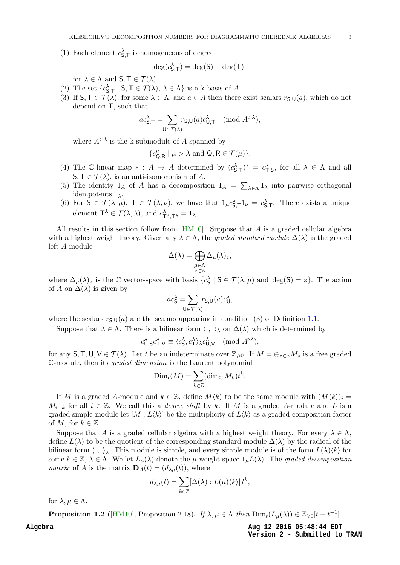(1) Each element  $c_{\mathsf{S},\mathsf{T}}^{\lambda}$  is homogeneous of degree

$$
\deg(c_{\mathsf{S},\mathsf{T}}^{\lambda}) = \deg(\mathsf{S}) + \deg(\mathsf{T}),
$$

for  $\lambda \in \Lambda$  and  $S, \mathsf{T} \in \mathcal{T}(\lambda)$ .

- (2) The set  $\{c_{\mathsf{S},\mathsf{T}}^{\lambda} \mid \mathsf{S}, \mathsf{T} \in \mathcal{T}(\lambda), \lambda \in \Lambda\}$  is a k-basis of A.
- (3) If  $S, \mathsf{T} \in \mathcal{T}(\lambda)$ , for some  $\lambda \in \Lambda$ , and  $a \in A$  then there exist scalars  $r_{S,U}(a)$ , which do not depend on T, such that

$$
ac_{\mathsf{S},\mathsf{T}}^{\lambda} = \sum_{\mathsf{U} \in \mathcal{T}(\lambda)} r_{\mathsf{S},\mathsf{U}}(a)c_{\mathsf{U},\mathsf{T}}^{\lambda} \pmod{A^{\rhd \lambda}},
$$

where  $A^{\triangleright \lambda}$  is the k-submodule of A spanned by

$$
\{c_{\mathsf{Q},\mathsf{R}}^{\mu} \mid \mu \vartriangleright \lambda \text{ and } \mathsf{Q}, \mathsf{R} \in \mathcal{T}(\mu)\}.
$$

- (4) The C-linear map  $* : A \to A$  determined by  $(c_{\mathsf{S},\mathsf{T}}^{\lambda})^* = c_{\mathsf{T},\mathsf{S}}^{\lambda}$ , for all  $\lambda \in \Lambda$  and all  $\mathsf{S},\mathsf{T}\in\mathcal{T}(\lambda)$ , is an anti-isomorphism of A.
- (5) The identity  $1_A$  of A has a decomposition  $1_A = \sum_{\lambda \in \Lambda} 1_{\lambda}$  into pairwise orthogonal idempotents  $1_{\lambda}$ .
- (6) For  $S \in \mathcal{T}(\lambda, \mu)$ ,  $T \in \mathcal{T}(\lambda, \nu)$ , we have that  $1_{\mu}c_{S,\tau}^{\lambda}1_{\nu} = c_{S,\tau}^{\lambda}$ . There exists a unique element  $\mathsf{T}^{\lambda} \in \mathcal{T}(\lambda, \lambda)$ , and  $c_{\mathsf{T}^{\lambda}, \mathsf{T}^{\lambda}}^{\lambda} = 1_{\lambda}$ .

All results in this section follow from  $[HM10]$ . Suppose that A is a graded cellular algebra with a highest weight theory. Given any  $\lambda \in \Lambda$ , the graded standard module  $\Delta(\lambda)$  is the graded left A-module

$$
\Delta(\lambda) = \bigoplus_{\substack{\mu \in \Lambda \\ z \in \mathbb{Z}}} \Delta_{\mu}(\lambda)_{z},
$$

where  $\Delta_{\mu}(\lambda)_{z}$  is the  $\mathbb C$  vector-space with basis  $\{c_{\mathsf{S}}^{\lambda} \mid \mathsf{S} \in \mathcal{T}(\lambda,\mu) \text{ and } \deg(\mathsf{S}) = z\}.$  The action of A on  $\Delta(\lambda)$  is given by

$$
ac_{\mathsf{S}}^{\lambda} = \sum_{\mathsf{U} \in \mathcal{T}(\lambda)} r_{\mathsf{S},\mathsf{U}}(a)c_{\mathsf{U}}^{\lambda},
$$

where the scalars  $r_{\mathsf{S},\mathsf{U}}(a)$  are the scalars appearing in condition (3) of Definition [1.1.](#page-1-1)

Suppose that  $\lambda \in \Lambda$ . There is a bilinear form  $\langle , \rangle_{\lambda}$  on  $\Delta(\lambda)$  which is determined by

$$
c_{\mathsf{U},\mathsf{S}}^{\lambda}c_{\mathsf{T},\mathsf{V}}^{\lambda}\equiv\langle c_{\mathsf{S}}^{\lambda},c_{\mathsf{T}}^{\lambda}\rangle_{\lambda}c_{\mathsf{U},\mathsf{V}}^{\lambda}\pmod{A^{\triangleright\lambda}},
$$

for any  $S, T, U, V \in \mathcal{T}(\lambda)$ . Let t be an indeterminate over  $\mathbb{Z}_{\geq 0}$ . If  $M = \bigoplus_{z \in \mathbb{Z}} M_z$  is a free graded C-module, then its graded dimension is the Laurent polynomial

$$
\text{Dim}_t(M) = \sum_{k \in \mathbb{Z}} (\text{dim}_{\mathbb{C}} M_k) t^k.
$$

If M is a graded A-module and  $k \in \mathbb{Z}$ , define  $M\langle k \rangle$  to be the same module with  $(M\langle k \rangle)_i =$  $M_{i-k}$  for all  $i \in \mathbb{Z}$ . We call this a *degree shift* by k. If M is a graded A-module and L is a graded simple module let  $[M: L\langle k\rangle]$  be the multiplicity of  $L\langle k\rangle$  as a graded composition factor of M, for  $k \in \mathbb{Z}$ .

Suppose that A is a graded cellular algebra with a highest weight theory. For every  $\lambda \in \Lambda$ , define  $L(\lambda)$  to be the quotient of the corresponding standard module  $\Delta(\lambda)$  by the radical of the bilinear form  $\langle , \rangle_{\lambda}$ . This module is simple, and every simple module is of the form  $L(\lambda)\langle k \rangle$  for some  $k \in \mathbb{Z}, \lambda \in \Lambda$ . We let  $L_{\mu}(\lambda)$  denote the  $\mu$ -weight space  $1_{\mu}L(\lambda)$ . The graded decomposition *matrix* of A is the matrix  $\mathbf{D}_A(t) = (d_{\lambda \mu}(t))$ , where

$$
d_{\lambda\mu}(t) = \sum_{k\in\mathbb{Z}} [\Delta(\lambda) : L(\mu)\langle k\rangle] t^k,
$$

<span id="page-3-0"></span>for  $\lambda, \mu \in \Lambda$ .

**Proposition 1.2** ([\[HM10\]](#page-31-8), Proposition 2.18). If  $\lambda, \mu \in \Lambda$  then  $\text{Dim}_t(L_\mu(\lambda)) \in \mathbb{Z}_{\geq 0}[t+t^{-1}]$ .

**Aug 12 2016 05:48:44 EDT Version 2 - Submitted to TRAN**

**Algebra**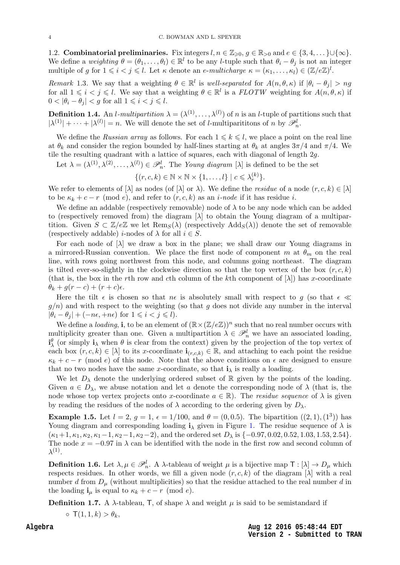<span id="page-4-2"></span><span id="page-4-0"></span>1.2. Combinatorial preliminaries. Fix integers  $l, n \in \mathbb{Z}_{\geqslant 0}, g \in \mathbb{R}_{>0}$  and  $e \in \{3, 4, \dots\} \cup \{\infty\}.$ We define a weighting  $\theta = (\theta_1, \dots, \theta_l) \in \mathbb{R}^l$  to be any *l*-tuple such that  $\theta_i - \theta_j$  is not an integer multiple of g for  $1 \leq i < j \leq l$ . Let  $\kappa$  denote an e-multicharge  $\kappa = (\kappa_1, \ldots, \kappa_l) \in (\mathbb{Z}/e\mathbb{Z})^l$ .

Remark 1.3. We say that a weighting  $\theta \in \mathbb{R}^l$  is well-separated for  $A(n, \theta, \kappa)$  if  $|\theta_i - \theta_j| > ng$ for all  $1 \leq i < j \leq l$ . We say that a weighting  $\theta \in \mathbb{R}^l$  is a  $FLOTW$  weighting for  $A(n, \theta, \kappa)$  if  $0 < |\theta_i - \theta_j| < g$  for all  $1 \leq i < j \leq l$ .

**Definition 1.4.** An *l*-multipartition  $\lambda = (\lambda^{(1)}, \ldots, \lambda^{(l)})$  of *n* is an *l*-tuple of partitions such that  $|\lambda^{(1)}| + \cdots + |\lambda^{(l)}| = n$ . We will denote the set of *l*-multiparititions of *n* by  $\mathscr{P}_n^l$ .

We define the Russian array as follows. For each  $1 \leq k \leq l$ , we place a point on the real line at  $\theta_k$  and consider the region bounded by half-lines starting at  $\theta_k$  at angles  $3\pi/4$  and  $\pi/4$ . We tile the resulting quadrant with a lattice of squares, each with diagonal of length 2g.

Let  $\lambda = (\lambda^{(1)}, \lambda^{(2)}, \ldots, \lambda^{(l)}) \in \mathscr{P}_n^l$ . The Young diagram [ $\lambda$ ] is defined to be the set

 $\{(r, c, k) \in \mathbb{N} \times \mathbb{N} \times \{1, \ldots, l\} \mid c \leqslant \lambda_r^{(k)}\}.$ 

We refer to elements of  $[\lambda]$  as nodes (of  $[\lambda]$  or  $\lambda$ ). We define the *residue* of a node  $(r, c, k) \in [\lambda]$ to be  $\kappa_k + c - r \pmod{e}$ , and refer to  $(r, c, k)$  as an *i-node* if it has residue *i*.

We define an addable (respectively removable) node of  $\lambda$  to be any node which can be added to (respectively removed from) the diagram [λ] to obtain the Young diagram of a multipartition. Given  $S \subset \mathbb{Z}/e\mathbb{Z}$  we let  $\text{Rem}_S(\lambda)$  (respectively  $\text{Add}_S(\lambda)$ ) denote the set of removable (respectively addable) *i*-nodes of  $\lambda$  for all  $i \in S$ .

For each node of  $[\lambda]$  we draw a box in the plane; we shall draw our Young diagrams in a mirrored-Russian convention. We place the first node of component m at  $\theta_m$  on the real line, with rows going northwest from this node, and columns going northeast. The diagram is tilted ever-so-slightly in the clockwise direction so that the top vertex of the box  $(r, c, k)$ (that is, the box in the rth row and cth column of the kth component of  $[\lambda]$ ) has x-coordinate  $\theta_k + g(r-c) + (r+c)\epsilon$ .

<span id="page-4-1"></span>Here the tilt  $\epsilon$  is chosen so that  $n\epsilon$  is absolutely small with respect to g (so that  $\epsilon \ll$  $g(n)$  and with respect to the weighting (so that g does not divide any number in the interval  $|\theta_i - \theta_j| + (-n\epsilon, +n\epsilon)$  for  $1 \leq i < j \leq l$ .

We define a loading, i, to be an element of  $(\mathbb{R} \times (\mathbb{Z}/e\mathbb{Z}))^n$  such that no real number occurs with multiplicity greater than one. Given a multipartition  $\lambda \in \mathscr{P}_n^l$  we have an associated loading,  $i^{\theta}_{\lambda}$  (or simply  $i_{\lambda}$  when  $\theta$  is clear from the context) given by the projection of the top vertex of each box  $(r, c, k) \in [\lambda]$  to its x-coordinate  $\mathbf{i}_{(r,c,k)} \in \mathbb{R}$ , and attaching to each point the residue  $\kappa_k + c - r \pmod{e}$  of this node. Note that the above conditions on  $\epsilon$  are designed to ensure that no two nodes have the same x-coordinate, so that  $\mathbf{i}_{\lambda}$  is really a loading.

We let  $D_{\lambda}$  denote the underlying ordered subset of R given by the points of the loading. Given  $a \in D_\lambda$ , we abuse notation and let a denote the corresponding node of  $\lambda$  (that is, the node whose top vertex projects onto x-coordinate  $a \in \mathbb{R}$ ). The *residue sequence* of  $\lambda$  is given by reading the residues of the nodes of  $\lambda$  according to the ordering given by  $D_{\lambda}$ .

**Example 1.5.** Let  $l = 2$ ,  $g = 1$ ,  $\epsilon = 1/100$ , and  $\theta = (0, 0.5)$ . The bipartition  $((2, 1), (1^3))$  has Young diagram and corresponding loading  $\mathbf{i}_{\lambda}$  given in Figure [1.](#page-4-0) The residue sequence of  $\lambda$  is  $(\kappa_1+1, \kappa_1, \kappa_2, \kappa_1-1, \kappa_2-1, \kappa_2-2)$ , and the ordered set  $D_\lambda$  is  $\{-0.97, 0.02, 0.52, 1.03, 1.53, 2.54\}.$ The node  $x = -0.97$  in  $\lambda$  can be identified with the node in the first row and second column of  $\lambda^{(1)}$ .

**Definition 1.6.** Let  $\lambda, \mu \in \mathcal{P}_n^l$ . A  $\lambda$ -tableau of weight  $\mu$  is a bijective map  $\mathsf{T} : [\lambda] \to D_\mu$  which respects residues. In other words, we fill a given node  $(r, c, k)$  of the diagram  $[\lambda]$  with a real number d from  $D_{\mu}$  (without multiplicities) so that the residue attached to the real number d in the loading  $\mathbf{i}_{\mu}$  is equal to  $\kappa_k + c - r \pmod{e}$ .

Definition 1.7. A  $\lambda$ -tableau, T, of shape  $\lambda$  and weight  $\mu$  is said to be semistandard if

 $\circ$  T(1, 1, k)  $>\theta_k$ ,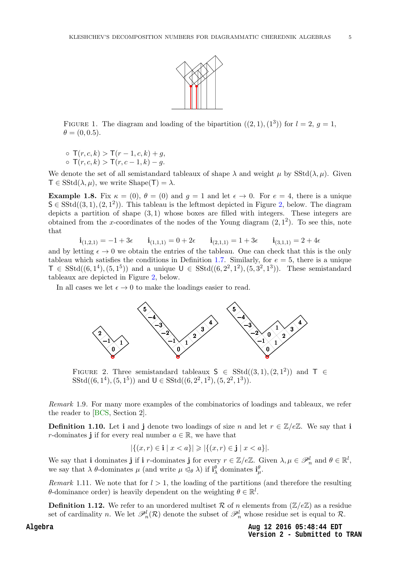

<span id="page-5-4"></span>FIGURE 1. The diagram and loading of the bipartition  $((2,1),(1^3))$  for  $l=2, g=1$ ,  $\theta = (0, 0.5).$ 

◦ T(r, c, k) > T(r − 1, c, k) + g,  $\sigma$  T(r, c, k) > T(r, c – 1, k) – q.

We denote the set of all semistandard tableaux of shape  $\lambda$  and weight  $\mu$  by SStd( $\lambda, \mu$ ). Given  $\mathsf{T} \in \mathrm{SStd}(\lambda, \mu)$ , we write  $\mathrm{Shape}(\mathsf{T}) = \lambda$ .

**Example 1.8.** Fix  $\kappa = (0)$ ,  $\theta = (0)$  and  $q = 1$  and let  $\epsilon \to 0$ . For  $e = 4$ , there is a unique  $S \in \text{SStd}((3,1), (2, 1^2))$  $S \in \text{SStd}((3,1), (2, 1^2))$  $S \in \text{SStd}((3,1), (2, 1^2))$ . This tableau is the leftmost depicted in Figure 2, below. The diagram depicts a partition of shape  $(3,1)$  whose boxes are filled with integers. These integers are obtained from the x-coordinates of the nodes of the Young diagram  $(2, 1^2)$ . To see this, note that

$$
\mathbf{i}_{(1,2,1)} = -1 + 3\epsilon \qquad \mathbf{i}_{(1,1,1)} = 0 + 2\epsilon \qquad \mathbf{i}_{(2,1,1)} = 1 + 3\epsilon \qquad \mathbf{i}_{(3,1,1)} = 2 + 4\epsilon
$$

and by letting  $\epsilon \to 0$  we obtain the entries of the tableau. One can check that this is the only tableau which satisfies the conditions in Definition [1.7.](#page-3-0) Similarly, for  $e = 5$ , there is a unique  $\mathsf{T} \in \mathrm{SStd}((6,1^4), (5,1^5))$  and a unique  $\mathsf{U} \in \mathrm{SStd}((6,2^2,1^2), (5,3^2,1^3))$ . These semistandard tableaux are depicted in Figure [2,](#page-4-1) below.

In all cases we let  $\epsilon \to 0$  to make the loadings easier to read.



<span id="page-5-3"></span>FIGURE 2. Three semistandard tableaux  $S \in SStd((3,1),(2,1^2))$  and  $T \in$  $SStd((6, 1^4), (5, 1^5))$  and  $U \in SStd((6, 2^2, 1^2), (5, 2^2, 1^3)).$ 

<span id="page-5-2"></span>Remark 1.9. For many more examples of the combinatorics of loadings and tableaux, we refer the reader to [\[BCS,](#page-30-3) Section 2].

<span id="page-5-0"></span>**Definition 1.10.** Let i and j denote two loadings of size n and let  $r \in \mathbb{Z}/e\mathbb{Z}$ . We say that i r-dominates j if for every real number  $a \in \mathbb{R}$ , we have that

$$
|\{(x,r) \in \mathbf{i} \mid x < a\}| \geq |\{(x,r) \in \mathbf{j} \mid x < a\}|.
$$

We say that i dominates j if i r-dominates j for every  $r \in \mathbb{Z}/e\mathbb{Z}$ . Given  $\lambda, \mu \in \mathscr{P}_n^l$  and  $\theta \in \mathbb{R}^l$ , we say that  $\lambda$   $\theta$ -dominates  $\mu$  (and write  $\mu \leq_{\theta} \lambda$ ) if  $\mathbf{i}_{\lambda}^{\theta}$  dominates  $\mathbf{i}_{\mu}^{\theta}$ .

<span id="page-5-1"></span>Remark 1.11. We note that for  $l > 1$ , the loading of the partitions (and therefore the resulting θ-dominance order) is heavily dependent on the weighting  $θ \in \mathbb{R}^l$ .

**Definition 1.12.** We refer to an unordered multiset R of n elements from  $(\mathbb{Z}/e\mathbb{Z})$  as a residue set of cardinality n. We let  $\mathscr{P}_n^l(\mathcal{R})$  denote the subset of  $\mathscr{P}_n^l$  whose residue set is equal to  $\mathcal{R}$ .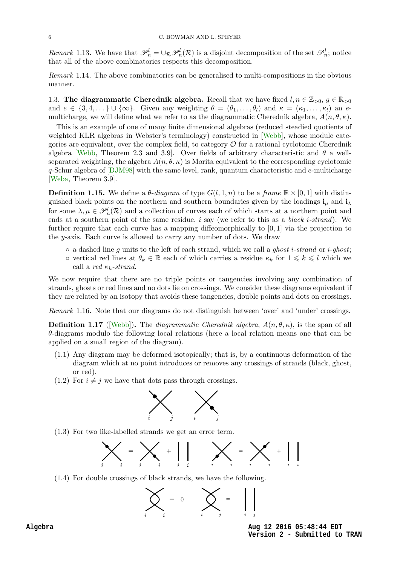<span id="page-6-7"></span>Remark 1.13. We have that  $\mathscr{P}_n^l = \cup_{\mathcal{R}} \mathscr{P}_n^l(\mathcal{R})$  is a disjoint decomposition of the set  $\mathscr{P}_n^l$ ; notice that all of the above combinatorics respects this decomposition.

Remark 1.14. The above combinatorics can be generalised to multi-compositions in the obvious manner.

<span id="page-6-2"></span>1.3. The diagrammatic Cherednik algebra. Recall that we have fixed  $l, n \in \mathbb{Z}_{>0}, g \in \mathbb{R}_{>0}$ and  $e \in \{3, 4, \dots\} \cup \{\infty\}$ . Given any weighting  $\theta = (\theta_1, \dots, \theta_l)$  and  $\kappa = (\kappa_1, \dots, \kappa_l)$  an emulticharge, we will define what we refer to as the diagrammatic Cherednik algebra,  $A(n, \theta, \kappa)$ .

<span id="page-6-6"></span>This is an example of one of many finite dimensional algebras (reduced steadied quotients of weighted KLR algebras in Webster's terminology) constructed in [\[Webb\]](#page-31-1), whose module categories are equivalent, over the complex field, to category  $\mathcal O$  for a rational cyclotomic Cherednik algebra [\[Webb,](#page-31-1) Theorem 2.3 and 3.9]. Over fields of arbitrary characteristic and  $\theta$  a wellseparated weighting, the algebra  $A(n, \theta, \kappa)$  is Morita equivalent to the corresponding cyclotomic q-Schur algebra of [\[DJM98\]](#page-31-7) with the same level, rank, quantum characteristic and e-multicharge [\[Weba,](#page-31-9) Theorem 3.9].

<span id="page-6-4"></span>**Definition 1.15.** We define a  $\theta$ -diagram of type  $G(l, 1, n)$  to be a frame  $\mathbb{R} \times [0, 1]$  with distinguished black points on the northern and southern boundaries given by the loadings  $\mathbf{i}_{\mu}$  and  $\mathbf{i}_{\lambda}$ for some  $\lambda, \mu \in \mathscr{P}_n^l(\mathcal{R})$  and a collection of curves each of which starts at a northern point and ends at a southern point of the same residue,  $i$  say (we refer to this as a *black i-strand*). We further require that each curve has a mapping diffeomorphically to [0, 1] via the projection to the y-axis. Each curve is allowed to carry any number of dots. We draw

- $\circ$  a dashed line g units to the left of each strand, which we call a ghost *i*-strand or *i*-ghost;
- vertical red lines at  $\theta_k \in \mathbb{R}$  each of which carries a residue  $\kappa_k$  for  $1 \leq k \leq l$  which we call a red  $\kappa_k$ -strand.

<span id="page-6-0"></span>We now require that there are no triple points or tangencies involving any combination of strands, ghosts or red lines and no dots lie on crossings. We consider these diagrams equivalent if they are related by an isotopy that avoids these tangencies, double points and dots on crossings.

Remark 1.16. Note that our diagrams do not distinguish between 'over' and 'under' crossings.

<span id="page-6-1"></span>**Definition 1.17** ([\[Webb\]](#page-31-1)). The *diagrammatic Cherednik algebra,*  $A(n, \theta, \kappa)$ , is the span of all  $\theta$ -diagrams modulo the following local relations (here a local relation means one that can be applied on a small region of the diagram).

- (1.1) Any diagram may be deformed isotopically; that is, by a continuous deformation of the diagram which at no point introduces or removes any crossings of strands (black, ghost, or red).
- <span id="page-6-3"></span>(1.2) For  $i \neq j$  we have that dots pass through crossings.



(1.3) For two like-labelled strands we get an error term.



<span id="page-6-5"></span>(1.4) For double crossings of black strands, we have the following.



**Aug 12 2016 05:48:44 EDT Version 2 - Submitted to TRAN**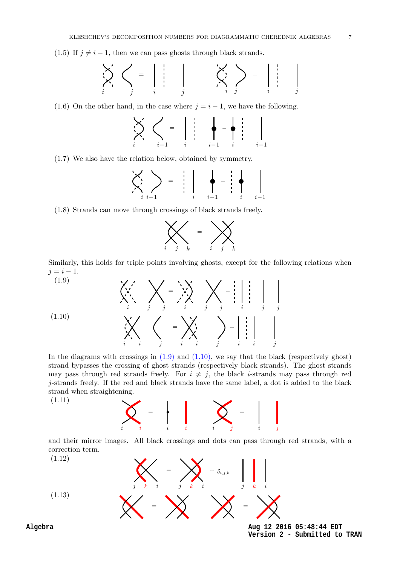<span id="page-7-4"></span><span id="page-7-2"></span>(1.5) If  $j \neq i - 1$ , then we can pass ghosts through black strands.

$$
\sum_{i}^{r} \left\langle \left\langle \begin{array}{c} = \\ \vdots \\ \vdots \end{array} \right| \left\langle \begin{array}{c} \vdots \\ \vdots \\ \vdots \end{array} \right| \left\langle \begin{array}{c} \vdots \\ \vdots \\ \vdots \end{array} \right| \left\langle \begin{array}{c} \vdots \\ \vdots \\ \vdots \end{array} \right| \left\langle \begin{array}{c} \vdots \\ \vdots \\ \vdots \end{array} \right| \left\langle \begin{array}{c} \vdots \\ \vdots \\ \vdots \end{array} \right| \left\langle \begin{array}{c} \vdots \\ \vdots \\ \vdots \end{array} \right| \left\langle \begin{array}{c} \vdots \\ \vdots \\ \vdots \end{array} \right| \left\langle \begin{array}{c} \vdots \\ \vdots \\ \vdots \end{array} \right| \left\langle \begin{array}{c} \vdots \\ \vdots \\ \vdots \end{array} \right| \left\langle \begin{array}{c} \vdots \\ \vdots \\ \vdots \end{array} \right| \left\langle \begin{array}{c} \vdots \\ \vdots \\ \vdots \end{array} \right| \left\langle \begin{array}{c} \vdots \\ \vdots \\ \vdots \end{array} \right| \left\langle \begin{array}{c} \vdots \\ \vdots \\ \vdots \end{array} \right| \left\langle \begin{array}{c} \vdots \\ \vdots \\ \vdots \end{array} \right| \left\langle \begin{array}{c} \vdots \\ \vdots \\ \vdots \end{array} \right| \left\langle \begin{array}{c} \vdots \\ \vdots \\ \vdots \end{array} \right| \left\langle \begin{array}{c} \vdots \\ \vdots \\ \vdots \end{array} \right| \left\langle \begin{array}{c} \vdots \\ \vdots \\ \vdots \end{array} \right| \left\langle \begin{array}{c} \vdots \\ \vdots \\ \vdots \end{array} \right| \left\langle \begin{array}{c} \vdots \\ \vdots \\ \vdots \end{array} \right| \left\langle \begin{array}{c} \vdots \\ \vdots \\ \vdots \end{array} \right| \left\langle \begin{array}{c} \vdots \\ \vdots \\ \vdots \end{array} \right| \left\langle \begin{array}{c} \vdots \\ \vdots \\ \vdots \end{array} \right| \left\langle \begin{array}{c} \vdots \\ \vdots \\ \vdots \end{array} \right|
$$

<span id="page-7-3"></span>(1.6) On the other hand, in the case where  $j = i - 1$ , we have the following.

$$
\sum_{i=1}^{n} \sum_{i=1}^{n} \left\{ \begin{array}{ccc} 1 & \cdots & 1 \\ 1 & \cdots & 1 \end{array} \right\} = \left\{ \begin{array}{ccc} 1 & \cdots & 1 \\ 1 & \cdots & 1 \end{array} \right\} = \left\{ \begin{array}{ccc} 1 & \cdots & 1 \\ 1 & \cdots & 1 \end{array} \right\}
$$

(1.7) We also have the relation below, obtained by symmetry.

$$
\left\langle \left\langle \left\langle \right\rangle_{i} \right\rangle_{i=1} \right\rangle = \left\langle \left\langle \left\langle \left\langle \right\rangle_{i} \right\rangle_{i=1} \right\rangle_{i=1} \right\rangle - \left\langle \left\langle \left\langle \left\langle \left\langle \left\langle \left\langle \right\rangle_{i} \right\rangle_{i} \right\rangle_{i=1} \right\rangle_{i=1} \right\rangle_{i=1} \right\rangle_{i=1}
$$

(1.8) Strands can move through crossings of black strands freely.



Similarly, this holds for triple points involving ghosts, except for the following relations when  $j = i - 1.$  $(1.0)$ 

$$
(1.10)
$$
\n
$$
\left\langle \bigtimes \bigtimes_{i} \bigtimes \bigtimes_{j} = \bigtimes \bigtimes \bigtimes_{i} - \bigcup_{j} \bigcup_{i} \bigcup_{i} \bigcup_{j} \bigcup_{j} \bigcup_{j} \bigcup_{j} \bigcup_{j} \bigcup_{j} \bigcup_{j} \bigcup_{j} \bigcup_{j} \bigcup_{j} \bigcup_{j} \bigcup_{j} \bigcup_{j} \bigcup_{j} \bigcup_{j} \bigcup_{j} \bigcup_{j} \bigcup_{j} \bigcup_{j} \bigcup_{j} \bigcup_{j} \bigcup_{j} \bigcup_{j} \bigcup_{j} \bigcup_{j} \bigcup_{j} \bigcup_{j} \bigcup_{j} \bigcup_{j} \bigcup_{j} \bigcup_{j} \bigcup_{j} \bigcup_{j} \bigcup_{j} \bigcup_{j} \bigcup_{j} \bigcup_{j} \bigcup_{j} \bigcup_{j} \bigcup_{j} \bigcup_{j} \bigcup_{j} \bigcup_{j} \bigcup_{j} \bigcup_{j} \bigcup_{j} \bigcup_{j} \bigcup_{j} \bigcup_{j} \bigcup_{j} \bigcup_{j} \bigcup_{j} \bigcup_{j} \bigcup_{j} \bigcup_{j} \bigcup_{j} \bigcup_{j} \bigcup_{j} \bigcup_{j} \bigcup_{j} \bigcup_{j} \bigcup_{j} \bigcup_{j} \bigcup_{j} \bigcup_{j} \bigcup_{j} \bigcup_{j} \bigcup_{j} \bigcup_{j} \bigcup_{j} \bigcup_{j} \bigcup_{j} \bigcup_{j} \bigcup_{j} \bigcup_{j} \bigcup_{j} \bigcup_{j} \bigcup_{j} \bigcup_{j} \bigcup_{j} \bigcup_{j} \bigcup_{j} \bigcup_{j} \bigcup_{j} \bigcup_{j} \bigcup_{j} \bigcup_{j} \bigcup_{j} \bigcup_{j} \bigcup_{j} \bigcup_{j} \bigcup_{j} \bigcup_{j} \bigcup_{j} \bigcup_{j} \bigcup_{j} \bigcup_{j} \bigcup_{j} \bigcup_{j} \bigcup_{j} \bigcup_{j} \bigcup_{j} \bigcup_{j} \bigcup_{j} \bigcup_{j} \bigcup_{j} \bigcup_{j} \bigcup_{j} \bigcup_{j} \bigcup_{j} \bigcup_{j} \bigcup_{j} \bigcup_{j} \bigcup_{j} \bigcup_{j} \big
$$

<span id="page-7-1"></span>In the diagrams with crossings in  $(1.9)$  and  $(1.10)$ , we say that the black (respectively ghost) strand bypasses the crossing of ghost strands (respectively black strands). The ghost strands may pass through red strands freely. For  $i \neq j$ , the black *i*-strands may pass through red j-strands freely. If the red and black strands have the same label, a dot is added to the black strand when straightening.

(1.11)



and their mirror images. All black crossings and dots can pass through red strands, with a correction term.

<span id="page-7-0"></span>(1.12)  
\n
$$
\left(\begin{array}{c}\n\mathbf{1.12}\n\end{array}\right)
$$
\n
$$
\mathbf{M} = \mathbf{M} + \delta_{i,j,k}
$$
\n
$$
= \mathbf{M}
$$
\n
$$
= \mathbf{M}
$$
\n
$$
= \mathbf{M}
$$
\n
$$
= \mathbf{M}
$$
\n
$$
= \mathbf{M}
$$
\n
$$
= \mathbf{M}
$$
\n
$$
= \mathbf{M}
$$
\n
$$
= \mathbf{M}
$$
\n
$$
= \mathbf{M}
$$
\n
$$
= \mathbf{M}
$$
\n
$$
= \mathbf{M}
$$
\n
$$
= \mathbf{M}
$$
\n
$$
= \mathbf{M}
$$
\n
$$
= \mathbf{M}
$$
\n
$$
= \mathbf{M}
$$
\n
$$
= \mathbf{M}
$$
\n
$$
= \mathbf{M}
$$
\n
$$
= \mathbf{M}
$$
\n
$$
= \mathbf{M}
$$
\n
$$
= \mathbf{M}
$$
\n
$$
= \mathbf{M}
$$
\n
$$
= \mathbf{M}
$$
\n
$$
= \mathbf{M}
$$
\n
$$
= \mathbf{M}
$$
\n
$$
= \mathbf{M}
$$
\n
$$
= \mathbf{M}
$$
\n
$$
= \mathbf{M}
$$
\n
$$
= \mathbf{M}
$$
\n
$$
= \mathbf{M}
$$
\n
$$
= \mathbf{M}
$$
\n
$$
= \mathbf{M}
$$
\n
$$
= \mathbf{M}
$$
\n
$$
= \mathbf{M}
$$
\n
$$
= \mathbf{M}
$$
\n
$$
= \mathbf{M}
$$
\n
$$
= \mathbf{M}
$$
\n
$$
= \mathbf{M}
$$
\n
$$
= \mathbf{M}
$$
\n
$$
= \mathbf{M}
$$
\n
$$
= \mathbf{M}
$$
\n
$$
= \mathbf{M}
$$
\n
$$
= \mathbf{M}
$$
\n
$$
= \mathbf{M}
$$
\n<math display="</p>

Algeb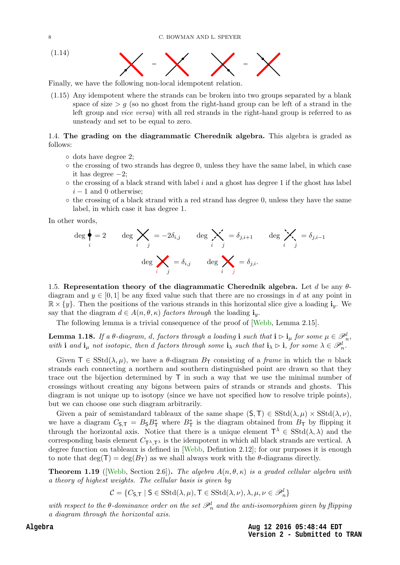<span id="page-8-3"></span><span id="page-8-2"></span>



Finally, we have the following non-local idempotent relation.

(1.15) Any idempotent where the strands can be broken into two groups separated by a blank space of size  $> g$  (so no ghost from the right-hand group can be left of a strand in the left group and vice versa) with all red strands in the right-hand group is referred to as unsteady and set to be equal to zero.

#### <span id="page-8-0"></span>1.4. The grading on the diagrammatic Cherednik algebra. This algebra is graded as follows:

- dots have degree 2;
- the crossing of two strands has degree 0, unless they have the same label, in which case it has degree  $-2$ ;
- $\circ$  the crossing of a black strand with label i and a ghost has degree 1 if the ghost has label  $i - 1$  and 0 otherwise;
- $\circ$  the crossing of a black strand with a red strand has degree 0, unless they have the same label, in which case it has degree 1.

In other words,

$$
\deg \bigg\{\bigg\} = 2 \qquad \deg \bigtimes_{i} = -2\delta_{i,j} \qquad \deg \bigtimes_{i} = \delta_{j,i+1} \qquad \deg \bigtimes_{i} = \delta_{j,i-1}
$$
\n
$$
\deg \bigtimes_{i} = \delta_{i,j} \qquad \deg \bigtimes_{i} = \delta_{j,i}.
$$

1.5. Representation theory of the diagrammatic Cherednik algebra. Let d be any  $\theta$ diagram and  $y \in [0, 1]$  be any fixed value such that there are no crossings in d at any point in  $\mathbb{R} \times \{y\}$ . Then the positions of the various strands in this horizontal slice give a loading  $\mathbf{i}_y$ . We say that the diagram  $d \in A(n, \theta, \kappa)$  factors through the loading  $\mathbf{i}_y$ .

<span id="page-8-1"></span>The following lemma is a trivial consequence of the proof of [\[Webb,](#page-31-1) Lemma 2.15].

**Lemma 1.18.** If a  $\theta$ -diagram, d, factors through a loading i such that  $i \rhd i_\mu$  for some  $\mu \in \mathscr{P}_n^l$ , with **i** and  $\mathbf{i}_{\mu}$  not isotopic, then d factors through some  $\mathbf{i}_{\lambda}$  such that  $\mathbf{i}_{\lambda} \triangleright \mathbf{i}$ , for some  $\lambda \in \mathscr{P}_{n}^{l}$ .

Given  $\mathsf{T} \in \mathrm{SStd}(\lambda, \mu)$ , we have a  $\theta$ -diagram  $B_{\mathsf{T}}$  consisting of a *frame* in which the *n* black strands each connecting a northern and southern distinguished point are drawn so that they trace out the bijection determined by T in such a way that we use the minimal number of crossings without creating any bigons between pairs of strands or strands and ghosts. This diagram is not unique up to isotopy (since we have not specified how to resolve triple points), but we can choose one such diagram arbitrarily.

Given a pair of semistandard tableaux of the same shape  $(S, T) \in SStd(\lambda, \mu) \times SStd(\lambda, \nu)$ , we have a diagram  $C_{\mathsf{S},\mathsf{T}} = B_{\mathsf{S}} B_{\mathsf{T}}^*$  where  $B_{\mathsf{T}}^*$  is the diagram obtained from  $B_{\mathsf{T}}$  by flipping it through the horizontal axis. Notice that there is a unique element  $\mathsf{T}^{\lambda} \in \mathrm{SStd}(\lambda, \lambda)$  and the corresponding basis element  $C_{\mathsf{T}^\lambda,\mathsf{T}^\lambda}$  is the idempotent in which all black strands are vertical. A degree function on tableaux is defined in [\[Webb,](#page-31-1) Defintion 2.12]; for our purposes it is enough to note that  $\deg(T) = \deg(B_T)$  as we shall always work with the  $\theta$ -diagrams directly.

**Theorem 1.19** ([\[Webb,](#page-31-1) Section 2.6]). The algebra  $A(n, \theta, \kappa)$  is a graded cellular algebra with a theory of highest weights. The cellular basis is given by

 $C = \{C_{\mathsf{S},\mathsf{T}} \mid \mathsf{S} \in \text{SStd}(\lambda,\mu), \mathsf{T} \in \text{SStd}(\lambda,\nu), \lambda,\mu,\nu \in \mathscr{P}_n^l\}$ 

with respect to the  $\theta$ -dominance order on the set  $\mathscr{P}_n^l$  and the anti-isomorphism given by flipping a diagram through the horizontal axis.

> **Aug 12 2016 05:48:44 EDT Version 2 - Submitted to TRAN**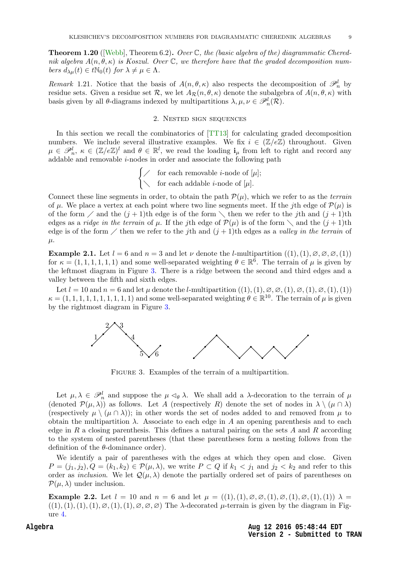<span id="page-9-0"></span>**Theorem 1.20** ([\[Webb\]](#page-31-1), Theorem 6.2). Over  $\mathbb{C}$ , the (basic algebra of the) diagrammatic Cherednik algebra  $A(n, \theta, \kappa)$  is Koszul. Over C, we therefore have that the graded decomposition numbers  $d_{\lambda\mu}(t) \in t\mathbb{N}_0(t)$  for  $\lambda \neq \mu \in \Lambda$ .

Remark 1.21. Notice that the basis of  $A(n, \theta, \kappa)$  also respects the decomposition of  $\mathscr{P}_n^l$  by residue sets. Given a residue set R, we let  $A_{\mathcal{R}}(n, \theta, \kappa)$  denote the subalgebra of  $A(n, \theta, \kappa)$  with basis given by all  $\theta$ -diagrams indexed by multipartitions  $\lambda, \mu, \nu \in \mathscr{P}_n^l(\mathcal{R})$ .

#### 2. Nested sign sequences

In this section we recall the combinatorics of [\[TT13\]](#page-31-6) for calculating graded decomposition numbers. We include several illustrative examples. We fix  $i \in (\mathbb{Z}/e\mathbb{Z})$  throughout. Given  $\mu \in \mathscr{P}_n^l$ ,  $\kappa \in (\mathbb{Z}/e\mathbb{Z})^l$  and  $\theta \in \mathbb{R}^l$ , we read the loading  $\mathbf{i}_{\mu}$  from left to right and record any addable and removable *i*-nodes in order and associate the following path

> $\int \diagup$  for each removable *i*-node of [µ];  $\setminus$  for each addable *i*-node of [ $\mu$ ].

Connect these line segments in order, to obtain the path  $\mathcal{P}(\mu)$ , which we refer to as the *terrain* of  $\mu$ . We place a vertex at each point where two line segments meet. If the jth edge of  $\mathcal{P}(\mu)$  is of the form  $\diagup$  and the  $(j + 1)$ th edge is of the form  $\diagdown$  then we refer to the jth and  $(j + 1)$ th edges as a *ridge in the terrain* of  $\mu$ . If the jth edge of  $\mathcal{P}(\mu)$  is of the form  $\setminus$  and the  $(j+1)$ th edge is of the form  $\angle$  then we refer to the jth and  $(j + 1)$ th edges as a valley in the terrain of  $\mu$ .

**Example 2.1.** Let  $l = 6$  and  $n = 3$  and let  $\nu$  denote the *l*-multipartition  $((1), (1), \emptyset, \emptyset, \emptyset, (1))$ for  $\kappa = (1, 1, 1, 1, 1, 1)$  and some well-separated weighting  $\theta \in \mathbb{R}^6$ . The terrain of  $\mu$  is given by the leftmost diagram in Figure [3.](#page-8-1) There is a ridge between the second and third edges and a valley between the fifth and sixth edges.

<span id="page-9-1"></span>Let  $l = 10$  and  $n = 6$  and let  $\mu$  denote the *l*-multipartition  $((1), (1), \emptyset, \emptyset, (1), \emptyset, (1), \emptyset, (1), (1))$  $\kappa = (1, 1, 1, 1, 1, 1, 1, 1, 1, 1)$  and some well-separated weighting  $\theta \in \mathbb{R}^{10}$ . The terrain of  $\mu$  is given by the rightmost diagram in Figure [3.](#page-8-1)



FIGURE 3. Examples of the terrain of a multipartition.

<span id="page-9-2"></span>Let  $\mu, \lambda \in \mathscr{P}_n^l$  and suppose the  $\mu \lhd_{\theta} \lambda$ . We shall add a  $\lambda$ -decoration to the terrain of  $\mu$ (denoted  $\mathcal{P}(\mu,\lambda)$ ) as follows. Let A (respectively R) denote the set of nodes in  $\lambda \setminus (\mu \cap \lambda)$ (respectively  $\mu \setminus (\mu \cap \lambda)$ ); in other words the set of nodes added to and removed from  $\mu$  to obtain the multipartition  $\lambda$ . Associate to each edge in A an opening parenthesis and to each edge in R a closing parenthesis. This defines a natural pairing on the sets A and R according to the system of nested parentheses (that these parentheses form a nesting follows from the definition of the  $\theta$ -dominance order).

We identify a pair of parentheses with the edges at which they open and close. Given  $P = (j_1, j_2), Q = (k_1, k_2) \in \mathcal{P}(\mu, \lambda)$ , we write  $P \subset Q$  if  $k_1 < j_1$  and  $j_2 < k_2$  and refer to this order as *inclusion*. We let  $\mathcal{Q}(\mu, \lambda)$  denote the partially ordered set of pairs of parentheses on  $\mathcal{P}(\mu,\lambda)$  under inclusion.

**Example 2.2.** Let  $l = 10$  and  $n = 6$  and let  $\mu = ((1), (1), \emptyset, \emptyset, (1), \emptyset, (1), (1))$   $\lambda =$  $((1),(1),(1),(1),\varnothing,(1),(1),\varnothing,\varnothing,\varnothing)$  The  $\lambda$ -decorated  $\mu$ -terrain is given by the diagram in Figure [4.](#page-9-0)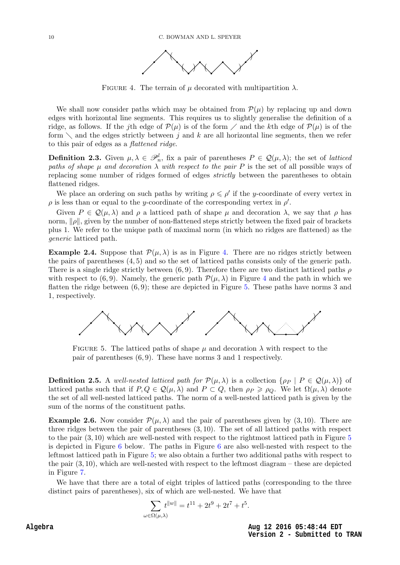

FIGURE 4. The terrain of  $\mu$  decorated with multipartition  $\lambda$ .

<span id="page-10-2"></span><span id="page-10-1"></span>We shall now consider paths which may be obtained from  $\mathcal{P}(\mu)$  by replacing up and down edges with horizontal line segments. This requires us to slightly generalise the definition of a ridge, as follows. If the jth edge of  $\mathcal{P}(\mu)$  is of the form  $\ell$  and the kth edge of  $\mathcal{P}(\mu)$  is of the form  $\setminus$  and the edges strictly between j and k are all horizontal line segments, then we refer to this pair of edges as a flattened ridge.

**Definition 2.3.** Given  $\mu, \lambda \in \mathcal{P}_n^l$ , fix a pair of parentheses  $P \in \mathcal{Q}(\mu, \lambda)$ ; the set of *latticed* paths of shape  $\mu$  and decoration  $\lambda$  with respect to the pair P is the set of all possible ways of replacing some number of ridges formed of edges strictly between the parentheses to obtain flattened ridges.

We place an ordering on such paths by writing  $\rho \leq \rho'$  if the y-coordinate of every vertex in  $\rho$  is less than or equal to the y-coordinate of the corresponding vertex in  $\rho'$ .

<span id="page-10-0"></span>Given  $P \in \mathcal{Q}(\mu, \lambda)$  and  $\rho$  a latticed path of shape  $\mu$  and decoration  $\lambda$ , we say that  $\rho$  has norm,  $\|\rho\|$ , given by the number of non-flattened steps strictly between the fixed pair of brackets plus 1. We refer to the unique path of maximal norm (in which no ridges are flattened) as the generic latticed path.

**Example 2.[4.](#page-9-0)** Suppose that  $\mathcal{P}(\mu, \lambda)$  is as in Figure 4. There are no ridges strictly between the pairs of parentheses (4, 5) and so the set of latticed paths consists only of the generic path. There is a single ridge strictly between  $(6, 9)$ . Therefore there are two distinct latticed paths  $\rho$ with respect to (6,9). Namely, the generic path  $\mathcal{P}(\mu, \lambda)$  in Figure [4](#page-9-0) and the path in which we flatten the ridge between  $(6, 9)$ ; these are depicted in Figure [5.](#page-9-1) These paths have norms 3 and 1, respectively.

<span id="page-10-3"></span>

FIGURE 5. The latticed paths of shape  $\mu$  and decoration  $\lambda$  with respect to the pair of parentheses (6, 9). These have norms 3 and 1 respectively.

**Definition 2.5.** A well-nested latticed path for  $\mathcal{P}(\mu,\lambda)$  is a collection  $\{\rho_P \mid P \in \mathcal{Q}(\mu,\lambda)\}\$  of latticed paths such that if  $P, Q \in \mathcal{Q}(\mu, \lambda)$  and  $P \subset Q$ , then  $\rho_P \geq \rho_Q$ . We let  $\Omega(\mu, \lambda)$  denote the set of all well-nested latticed paths. The norm of a well-nested latticed path is given by the sum of the norms of the constituent paths.

**Example 2.6.** Now consider  $\mathcal{P}(\mu,\lambda)$  and the pair of parentheses given by (3,10). There are three ridges between the pair of parentheses (3, 10). The set of all latticed paths with respect to the pair (3, 10) which are well-nested with respect to the rightmost latticed path in Figure [5](#page-9-1) is depicted in Figure [6](#page-10-1) below. The paths in Figure [6](#page-10-1) are also well-nested with respect to the leftmost latticed path in Figure [5;](#page-9-1) we also obtain a further two additional paths with respect to the pair (3, 10), which are well-nested with respect to the leftmost diagram – these are depicted in Figure [7.](#page-10-2)

We have that there are a total of eight triples of latticed paths (corresponding to the three distinct pairs of parentheses), six of which are well-nested. We have that

$$
\sum_{\omega \in \Omega(\mu,\lambda)} t^{\|w\|} = t^{11} + 2t^9 + 2t^7 + t^5.
$$

**Aug 12 2016 05:48:44 EDT Version 2 - Submitted to TRAN**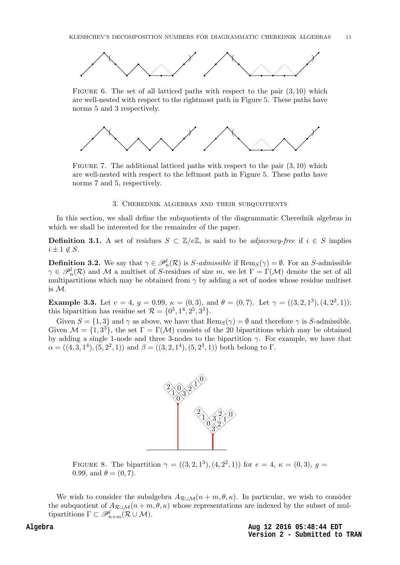<span id="page-11-2"></span>

FIGURE 6. The set of all latticed paths with respect to the pair  $(3, 10)$  which are well-nested with respect to the rightmost path in Figure [5.](#page-9-1) These paths have norms 5 and 3 respectively.



FIGURE 7. The additional latticed paths with respect to the pair  $(3, 10)$  which are well-nested with respect to the leftmost path in Figure [5.](#page-9-1) These paths have norms 7 and 5, respectively.

#### 3. Cherednik algebras and their subquotients

<span id="page-11-1"></span>In this section, we shall define the subquotients of the diagrammatic Cherednik algebras in which we shall be interested for the remainder of the paper.

**Definition 3.1.** A set of residues  $S \subset \mathbb{Z}/e\mathbb{Z}$ , is said to be *adjacency-free* if  $i \in S$  implies  $i \pm 1 \notin S$ .

**Definition 3.2.** We say that  $\gamma \in \mathcal{P}_n^l(\mathcal{R})$  is S-admissible if  $\text{Rem}_S(\gamma) = \emptyset$ . For an S-admissible  $\gamma \in \mathscr{P}_n^l(\mathcal{R})$  and M a multiset of S-residues of size m, we let  $\Gamma = \Gamma(\mathcal{M})$  denote the set of all multipartitions which may be obtained from  $\gamma$  by adding a set of nodes whose residue multiset is M.

**Example 3.3.** Let  $e = 4$ ,  $g = 0.99$ ,  $\kappa = (0, 3)$ , and  $\theta = (0, 7)$ . Let  $\gamma = ((3, 2, 1^3), (4, 2^2, 1))$ ; this bipartition has residue set  $\mathcal{R} = \{0^5, 1^4, 2^5, 3^3\}.$ 

Given  $S = \{1, 3\}$  and  $\gamma$  as above, we have that  $\text{Rem}_S(\gamma) = \emptyset$  and therefore  $\gamma$  is S-admissible. Given  $\mathcal{M} = \{1, 3^3\}$ , the set  $\Gamma = \Gamma(\mathcal{M})$  consists of the 20 bipartitions which may be obtained by adding a single 1-node and three 3-nodes to the bipartition  $\gamma$ . For example, we have that  $\alpha = ((4,3,1^4), (5,2^2,1))$  and  $\beta = ((3,2,1^4), (5,2^3,1))$  both belong to  $\Gamma$ .



<span id="page-11-0"></span>FIGURE 8. The bipartition  $\gamma = ((3, 2, 1^3), (4, 2^2, 1))$  for  $e = 4, \kappa = (0, 3), g =$ 0.99, and  $\theta = (0, 7)$ .

We wish to consider the subalgebra  $A_{\mathcal{R}\cup\mathcal{M}}(n+m,\theta,\kappa)$ . In particular, we wish to consider the subquotient of  $A_{\mathcal{R}\cup\mathcal{M}}(n+m,\theta,\kappa)$  whose representations are indexed by the subset of multipartitions  $\Gamma \subset \mathscr{P}^l_{n+m}(\mathcal{R} \cup \mathcal{M}).$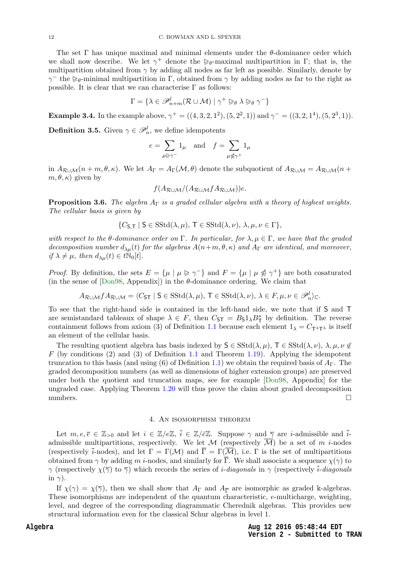The set  $\Gamma$  has unique maximal and minimal elements under the  $\theta$ -dominance order which we shall now describe. We let  $\gamma^+$  denote the  $\geq_{\theta}$ -maximal multipartition in  $\Gamma$ ; that is, the multipartition obtained from  $\gamma$  by adding all nodes as far left as possible. Similarly, denote by  $γ<sup>-</sup>$  the  $≥$ <sub>θ</sub>-minimal multipartition in Γ, obtained from γ by adding nodes as far to the right as possible. It is clear that we can characterise  $\Gamma$  as follows:

$$
\Gamma = \{ \lambda \in \mathscr{P}_{n+m}^l (\mathcal{R} \cup \mathcal{M}) \mid \gamma^+ \trianglerighteq_{\theta} \lambda \trianglerighteq_{\theta} \gamma^- \}
$$

**Example 3.4.** In the example above,  $\gamma^+ = ((4, 3, 2, 1^2), (5, 2^2, 1))$  and  $\gamma^- = ((3, 2, 1^4), (5, 2^3, 1))$ .

<span id="page-12-2"></span>**Definition 3.5.** Given  $\gamma \in \mathcal{P}_n^l$ , we define idempotents

$$
e = \sum_{\mu \triangleright \gamma^-} 1_{\mu} \quad \text{and} \quad f = \sum_{\mu \notin \gamma^+} 1_{\mu}
$$

<span id="page-12-0"></span>in  $A_{\mathcal{R}\cup\mathcal{M}}(n+m,\theta,\kappa)$ . We let  $A_{\Gamma}=A_{\Gamma}(\mathcal{M},\theta)$  denote the subquotient of  $A_{\mathcal{R}\cup\mathcal{M}}=A_{\mathcal{R}\cup\mathcal{M}}(n+m,\theta,\kappa)$ .  $m, \theta, \kappa$ ) given by

$$
f(A_{\mathcal{R}\cup\mathcal{M}}/(A_{\mathcal{R}\cup\mathcal{M}}fA_{\mathcal{R}\cup\mathcal{M}}))e.
$$

**Proposition 3.6.** The algebra  $A_{\Gamma}$  is a graded cellular algebra with a theory of highest weights. The cellular basis is given by

$$
\{C_{\mathsf{S},\mathsf{T}} \mid \mathsf{S} \in \mathrm{SStd}(\lambda,\mu), \mathsf{T} \in \mathrm{SStd}(\lambda,\nu), \lambda,\mu,\nu \in \Gamma\},\
$$

with respect to the  $\theta$ -dominance order on Γ. In particular, for  $\lambda, \mu \in \Gamma$ , we have that the graded decomposition number  $d_{\lambda\mu}(t)$  for the algebras  $A(n+m,\theta,\kappa)$  and  $A_{\Gamma}$  are identical, and moreover, if  $\lambda \neq \mu$ , then  $d_{\lambda\mu}(t) \in t\mathbb{N}_0[t]$ .

*Proof.* By definition, the sets  $E = {\mu \mid \mu \geq \gamma^-}$  and  $F = {\mu \mid \mu \leq \gamma^+}$  are both cosaturated (in the sense of  $[Don98, Appendix]$ ) in the  $\theta$ -dominance ordering. We claim that

$$
A_{\mathcal{R}\cup\mathcal{M}}fA_{\mathcal{R}\cup\mathcal{M}}=\langle C_{\mathsf{ST}}\mid \mathsf{S}\in\mathrm{SStd}(\lambda,\mu),\,\mathsf{T}\in\mathrm{SStd}(\lambda,\nu),\,\lambda\in F,\mu,\nu\in\mathscr{P}_n^l\rangle_{\mathbb{C}}.
$$

To see that the right-hand side is contained in the left-hand side, we note that if S and T are semistandard tableaux of shape  $\lambda \in F$ , then  $C_{ST} = B_5 1_\lambda B_T^*$  by definition. The reverse containment follows from axiom (3) of Definition [1.1](#page-1-1) because each element  $1_{\lambda} = C_{\tau \lambda \tau \lambda}$  is itself an element of the cellular basis.

<span id="page-12-1"></span>The resulting quotient algebra has basis indexed by  $S \in \text{SStd}(\lambda, \mu)$ ,  $T \in \text{SStd}(\lambda, \nu)$ ,  $\lambda, \mu, \nu \notin$  $F$  (by conditions (2) and (3) of Definition [1.1](#page-1-1) and Theorem [1.19\)](#page-7-0). Applying the idempotent truncation to this basis (and using (6) of Definition [1.1\)](#page-1-1) we obtain the required basis of  $A_{\Gamma}$ . The graded decomposition numbers (as well as dimensions of higher extension groups) are preserved under both the quotient and truncation maps, see for example [\[Don98,](#page-31-10) Appendix] for the ungraded case. Applying Theorem [1.20](#page-8-2) will thus prove the claim about graded decomposition numbers.  $\Box$ 

#### 4. An isomorphism theorem

Let  $m, e, \overline{e} \in \mathbb{Z}_{>0}$  and let  $i \in \mathbb{Z}/e\mathbb{Z}, \overline{i} \in \mathbb{Z}/\overline{e}\mathbb{Z}$ . Suppose  $\gamma$  and  $\overline{\gamma}$  are *i*-admissible and  $\overline{i}$ admissible multipartitions, respectively. We let M (respectively  $\overline{\mathcal{M}}$ ) be a set of m *i*-nodes (respectively  $\bar{i}$ -nodes), and let  $\Gamma = \Gamma(\mathcal{M})$  and  $\bar{\Gamma} = \Gamma(\overline{\mathcal{M}})$ , i.e.  $\Gamma$  is the set of multipartitions obtained from  $\gamma$  by adding m *i*-nodes, and similarly for  $\overline{\Gamma}$ . We shall associate a sequence  $\chi(\gamma)$  to  $\gamma$  (respectively  $\chi(\overline{\gamma})$  to  $\overline{\gamma}$ ) which records the series of *i-diagonals* in  $\gamma$  (respectively *i-diagonals* in  $\gamma$ ).

If  $\chi(\gamma) = \chi(\overline{\gamma})$ , then we shall show that  $A_{\Gamma}$  and  $A_{\overline{\Gamma}}$  are isomorphic as graded k-algebras. These isomorphisms are independent of the quantum characteristic, e-multicharge, weighting, level, and degree of the corresponding diagrammatic Cherednik algebras. This provides new structural information even for the classical Schur algebras in level 1.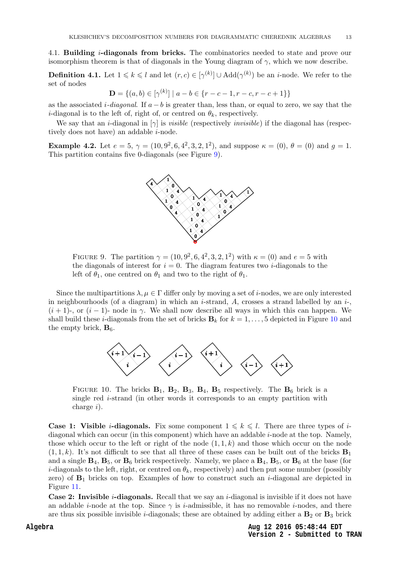<span id="page-13-0"></span>4.1. **Building** *i***-diagonals from bricks.** The combinatorics needed to state and prove our isomorphism theorem is that of diagonals in the Young diagram of  $\gamma$ , which we now describe.

**Definition 4.1.** Let  $1 \leq k \leq l$  and let  $(r, c) \in [\gamma^{(k)}] \cup \text{Add}(\gamma^{(k)})$  be an *i*-node. We refer to the set of nodes

 $\mathbf{D} = \{(a, b) \in [\gamma^{(k)}] \mid a - b \in \{r - c - 1, r - c, r - c + 1\}\}\$ 

as the associated *i-diagonal*. If  $a - b$  is greater than, less than, or equal to zero, we say that the *i*-diagonal is to the left of, right of, or centred on  $\theta_k$ , respectively.

We say that an *i*-diagonal in  $[\gamma]$  is *visible* (respectively *invisible*) if the diagonal has (respectively does not have) an addable *i*-node.

<span id="page-13-1"></span>**Example 4.2.** Let  $e = 5$ ,  $\gamma = (10, 9^2, 6, 4^2, 3, 2, 1^2)$ , and suppose  $\kappa = (0)$ ,  $\theta = (0)$  and  $g = 1$ . This partition contains five 0-diagonals (see Figure [9\)](#page-12-0).



FIGURE 9. The partition  $\gamma = (10, 9^2, 6, 4^2, 3, 2, 1^2)$  with  $\kappa = (0)$  and  $e = 5$  with the diagonals of interest for  $i = 0$ . The diagram features two *i*-diagonals to the left of  $\theta_1$ , one centred on  $\theta_1$  and two to the right of  $\theta_1$ .

Since the multipartitions  $\lambda, \mu \in \Gamma$  differ only by moving a set of *i*-nodes, we are only interested in neighbourhoods (of a diagram) in which an *i*-strand,  $A$ , crosses a strand labelled by an *i*-,  $(i + 1)$ -, or  $(i - 1)$ - node in  $\gamma$ . We shall now describe all ways in which this can happen. We shall build these *i*-diagonals from the set of bricks  $\mathbf{B}_k$  for  $k = 1, \ldots, 5$  depicted in Figure [10](#page-12-1) and the empty brick,  $\mathbf{B}_6$ .



<span id="page-13-2"></span>FIGURE 10. The bricks  $\mathbf{B}_1$ ,  $\mathbf{B}_2$ ,  $\mathbf{B}_3$ ,  $\mathbf{B}_4$ ,  $\mathbf{B}_5$  respectively. The  $\mathbf{B}_6$  brick is a single red i-strand (in other words it corresponds to an empty partition with charge i).

<span id="page-13-3"></span>**Case 1: Visible** *i***-diagonals.** Fix some component  $1 \leq k \leq l$ . There are three types of *i*diagonal which can occur (in this component) which have an addable *i*-node at the top. Namely, those which occur to the left or right of the node  $(1, 1, k)$  and those which occur on the node  $(1, 1, k)$ . It's not difficult to see that all three of these cases can be built out of the bricks  $\mathbf{B}_1$ and a single  $\mathbf{B}_4$ ,  $\mathbf{B}_5$ , or  $\mathbf{B}_6$  brick respectively. Namely, we place a  $\mathbf{B}_4$ ,  $\mathbf{B}_5$ , or  $\mathbf{B}_6$  at the base (for *i*-diagonals to the left, right, or centred on  $\theta_k$ , respectively) and then put some number (possibly zero) of  $\mathbf{B}_1$  bricks on top. Examples of how to construct such an *i*-diagonal are depicted in Figure [11.](#page-13-0)

**Case 2: Invisible** *i***-diagonals.** Recall that we say an *i*-diagonal is invisible if it does not have an addable *i*-node at the top. Since  $\gamma$  is *i*-admissible, it has no removable *i*-nodes, and there are thus six possible invisible *i*-diagonals; these are obtained by adding either a  $\mathbf{B}_2$  or  $\mathbf{B}_3$  brick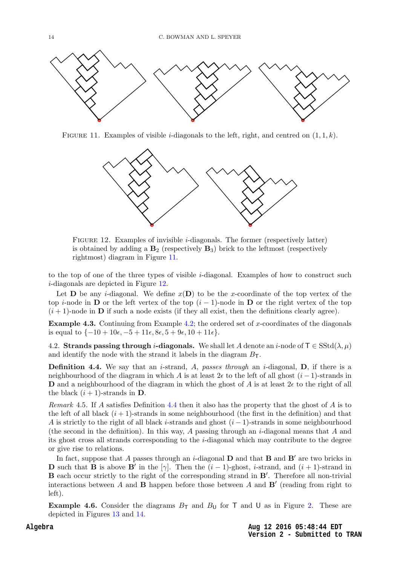

<span id="page-14-0"></span>FIGURE 11. Examples of visible *i*-diagonals to the left, right, and centred on  $(1, 1, k)$ .



<span id="page-14-1"></span>Figure 12. Examples of invisible i-diagonals. The former (respectively latter) is obtained by adding a  $\mathbf{B}_2$  (respectively  $\mathbf{B}_3$ ) brick to the leftmost (respectively rightmost) diagram in Figure [11.](#page-13-0)

to the top of one of the three types of visible i-diagonal. Examples of how to construct such i-diagonals are depicted in Figure [12.](#page-13-1)

Let **D** be any *i*-diagonal. We define  $x(D)$  to be the x-coordinate of the top vertex of the top i-node in **D** or the left vertex of the top  $(i - 1)$ -node in **D** or the right vertex of the top  $(i + 1)$ -node in **D** if such a node exists (if they all exist, then the definitions clearly agree).

**Example 4.3.** Continuing from Example [4.2;](#page-12-2) the ordered set of x-coordinates of the diagonals is equal to  $\{-10 + 10\epsilon, -5 + 11\epsilon, 8\epsilon, 5 + 9\epsilon, 10 + 11\epsilon\}.$ 

4.2. Strands passing through *i*-diagonals. We shall let A denote an *i*-node of  $\mathsf{T} \in \text{SStd}(\lambda, \mu)$ and identify the node with the strand it labels in the diagram  $B_T$ .

**Definition 4.4.** We say that an *i*-strand, A, passes through an *i*-diagonal,  $D$ , if there is a neighbourhood of the diagram in which A is at least  $2\epsilon$  to the left of all ghost  $(i-1)$ -strands in **D** and a neighbourhood of the diagram in which the ghost of A is at least  $2\epsilon$  to the right of all the black  $(i + 1)$ -strands in **D**.

Remark 4.5. If A satisfies Definition [4.4](#page-13-2) then it also has the property that the ghost of A is to the left of all black  $(i + 1)$ -strands in some neighbourhood (the first in the definition) and that A is strictly to the right of all black i-strands and ghost  $(i - 1)$ -strands in some neighbourhood (the second in the definition). In this way, A passing through an *i*-diagonal means that A and its ghost cross all strands corresponding to the i-diagonal which may contribute to the degree or give rise to relations.

In fact, suppose that A passes through an *i*-diagonal  $D$  and that  $B$  and  $B'$  are two bricks in **D** such that **B** is above **B'** in the [ $\gamma$ ]. Then the  $(i-1)$ -ghost, *i*-strand, and  $(i+1)$ -strand in B each occur strictly to the right of the corresponding strand in B'. Therefore all non-trivial interactions between  $A$  and  $B$  happen before those between  $A$  and  $B'$  (reading from right to left).

**Example 4.6.** Consider the diagrams  $B_T$  and  $B_U$  for T and U as in Figure [2.](#page-4-1) These are depicted in Figures [13](#page-14-0) and [14.](#page-14-1)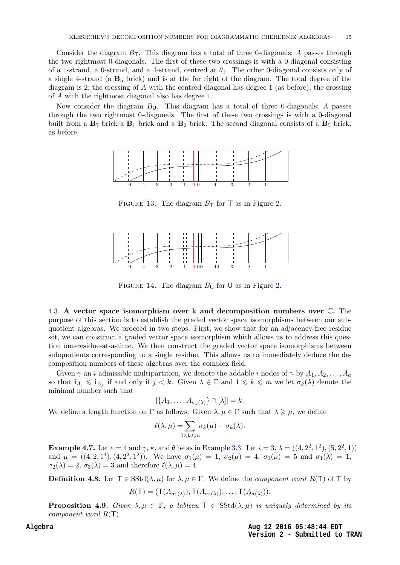Consider the diagram  $B_T$ . This diagram has a total of three 0-diagonals; A passes through the two rightmost 0-diagonals. The first of these two crossings is with a 0-diagonal consisting of a 1-strand, a 0-strand, and a 4-strand, centred at  $\theta_1$ . The other 0-diagonal consists only of a single 4-strand (a  $B_5$  brick) and is at the far right of the diagram. The total degree of the diagram is 2; the crossing of A with the centred diagonal has degree 1 (as before); the crossing of A with the rightmost diagonal also has degree 1.

<span id="page-15-1"></span>Now consider the diagram  $B_{\mathsf{U}}$ . This diagram has a total of three 0-diagonals; A passes through the two rightmost 0-diagonals. The first of these two crossings is with a 0-diagonal built from a  $\mathbf{B}_7$  brick a  $\mathbf{B}_1$  brick and a  $\mathbf{B}_2$  brick. The second diagonal consists of a  $\mathbf{B}_5$  brick, as before.



FIGURE 13. The diagram  $B_T$  for T as in Figure [2.](#page-4-1)

<span id="page-15-0"></span>

FIGURE 14. The diagram  $B_{\text{U}}$  for U as in Figure [2.](#page-4-1)

<span id="page-15-2"></span>4.3. A vector space isomorphism over k and decomposition numbers over C. The purpose of this section is to establish the graded vector space isomorphisms between our subquotient algebras. We proceed in two steps. First, we show that for an adjacency-free residue set, we can construct a graded vector space isomorphism which allows us to address this question one-residue-at-a-time. We then construct the graded vector space isomorphisms between subquotients corresponding to a single residue. This allows us to immediately deduce the decomposition numbers of these algebras over the complex field.

Given  $\gamma$  an *i*-admissible multipartition, we denote the addable *i*-nodes of  $\gamma$  by  $A_1, A_2, \ldots, A_a$ so that  $i_{A_j} \leqslant i_{A_k}$  if and only if  $j < k$ . Given  $\lambda \in \Gamma$  and  $1 \leqslant k \leqslant m$  we let  $\sigma_k(\lambda)$  denote the minimal number such that

$$
|\{A_1,\ldots,A_{\sigma_k(\lambda)}\}\cap[\lambda]|=k.
$$

We define a length function on  $\Gamma$  as follows. Given  $\lambda, \mu \in \Gamma$  such that  $\lambda \geq \mu$ , we define

$$
\ell(\lambda,\mu) = \sum_{1 \leq k \leq m} \sigma_k(\mu) - \sigma_k(\lambda).
$$

**Example 4.7.** Let  $e = 4$  and  $\gamma$ ,  $\kappa$ , and  $\theta$  be as in Example [3.3.](#page-10-3) Let  $i = 3$ ,  $\lambda = ((4, 2^2, 1^2), (5, 2^2, 1))$ and  $\mu = ((4, 2, 1^4), (4, 2^2, 1^2))$ . We have  $\sigma_1(\mu) = 1$ ,  $\sigma_2(\mu) = 4$ ,  $\sigma_3(\mu) = 5$  and  $\sigma_1(\lambda) = 1$ ,  $\sigma_2(\lambda) = 2$ ,  $\sigma_3(\lambda) = 3$  and therefore  $\ell(\lambda, \mu) = 4$ .

**Definition 4.8.** Let  $T \in SStd(\lambda, \mu)$  for  $\lambda, \mu \in \Gamma$ . We define the *component word*  $R(T)$  of T by

$$
R(\mathsf{T})=(\mathsf{T}(A_{\sigma_1(\lambda)}),\mathsf{T}(A_{\sigma_2(\lambda)}),\ldots,\mathsf{T}(A_{\sigma(\lambda)})).
$$

**Proposition 4.9.** Given  $\lambda, \mu \in \Gamma$ , a tableau  $\mathsf{T} \in \text{SStd}(\lambda, \mu)$  is uniquely determined by its component word  $R(T)$ .

> **Aug 12 2016 05:48:44 EDT Version 2 - Submitted to TRAN**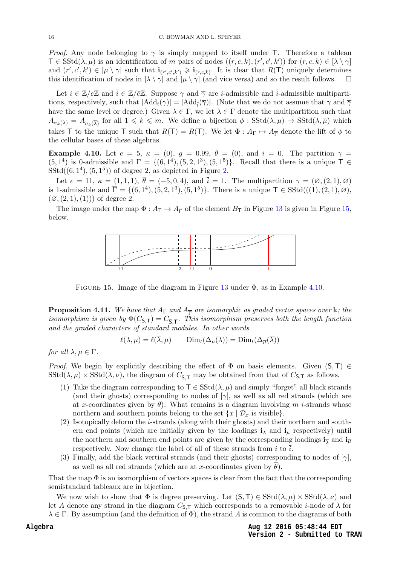<span id="page-16-1"></span>*Proof.* Any node belonging to  $\gamma$  is simply mapped to itself under T. Therefore a tableau  $\mathsf{T} \in \mathrm{SStd}(\lambda, \mu)$  is an identification of m pairs of nodes  $((r, c, k), (r', c', k'))$  for  $(r, c, k) \in [\lambda \setminus \gamma]$ and  $(r', c', k') \in [\mu \setminus \gamma]$  such that  $\mathbf{i}_{(r', c', k')} \geq \mathbf{i}_{(r, c, k)}$ . It is clear that  $R(\mathsf{T})$  uniquely determines this identification of nodes in  $[\lambda \setminus \gamma]$  and  $[\mu \setminus \gamma]$  (and vice versa) and so the result follows.  $\square$ 

Let  $i \in \mathbb{Z}/e\mathbb{Z}$  and  $\bar{i} \in \mathbb{Z}/e\mathbb{Z}$ . Suppose  $\gamma$  and  $\bar{\gamma}$  are *i*-admissible and  $\bar{i}$ -admissible multipartitions, respectively, such that  $|\text{Add}_i(\gamma)| = |\text{Add}_{\overline{i}}(\overline{\gamma})|$ . (Note that we do not assume that  $\gamma$  and  $\overline{\gamma}$ have the same level or degree.) Given  $\lambda \in \Gamma$ , we let  $\overline{\lambda} \in \overline{\Gamma}$  denote the multipartition such that  $A_{\sigma_k(\lambda)} = A_{\sigma_k(\overline{\lambda})}$  for all  $1 \leq k \leq m$ . We define a bijection  $\phi : \text{SStd}(\lambda, \mu) \to \text{SStd}(\overline{\lambda}, \overline{\mu})$  which takes T to the unique  $\overline{T}$  such that  $R(T) = R(\overline{T})$ . We let  $\Phi : A_{\Gamma} \mapsto A_{\overline{T}}$  denote the lift of  $\phi$  to the cellular bases of these algebras.

Example 4.10. Let  $e = 5$ ,  $\kappa = (0)$ ,  $g = 0.99$ ,  $\theta = (0)$ , and  $i = 0$ . The partition  $\gamma =$  $(5, 1^4)$  is 0-admissible and  $\Gamma = \{(6, 1^4), (5, 2, 1^3), (5, 1^5)\}\.$  Recall that there is a unique  $\top \in$  $SStd((6, 1<sup>4</sup>), (5, 1<sup>5</sup>))$  of degree 2, as depicted in Figure [2.](#page-4-1)

Let  $\overline{e} = 11, \overline{\kappa} = (1, 1, 1), \overline{\theta} = (-5, 0, 4), \text{ and } \overline{i} = 1.$  The multipartition  $\overline{\gamma} = (\emptyset, (2, 1), \emptyset)$ is 1-admissible and  $\overline{\Gamma} = \{(6,1^4), (5,2,1^3), (5,1^5)\}.$  There is a unique  $\overline{\Gamma} \in \text{SStd}(((1), (2,1), \emptyset),$  $(\emptyset, (2, 1), (1))$  of degree 2.

The image under the map  $\Phi: A_{\Gamma} \to A_{\overline{\Gamma}}$  of the element  $B_{\overline{\Gamma}}$  in Figure [13](#page-14-0) is given in Figure [15,](#page-15-0) below.



<span id="page-16-0"></span>FIGURE 15. Image of the diagram in Figure [13](#page-14-0) under  $\Phi$ , as in Example [4.10.](#page-15-1)

**Proposition 4.11.** We have that  $A_{\Gamma}$  and  $A_{\overline{\Gamma}}$  are isomorphic as graded vector spaces over  $\Bbbk$ ; the isomorphism is given by  $\Phi(C_{\mathsf{S},\mathsf{T}})=C_{\overline{\mathsf{S}},\overline{\mathsf{T}}}$ . This isomorphism preserves both the length function and the graded characters of standard modules. In other words

$$
\ell(\lambda, \mu) = \ell(\overline{\lambda}, \overline{\mu}) \qquad \text{Dim}_{t}(\Delta_{\mu}(\lambda)) = \text{Dim}_{t}(\Delta_{\overline{\mu}}(\overline{\lambda}))
$$

for all  $\lambda, \mu \in \Gamma$ .

Proof. We begin by explicitly describing the effect of  $\Phi$  on basis elements. Given  $(S, T) \in$  $SStd(\lambda, \mu) \times SStd(\lambda, \nu)$ , the diagram of  $C_{\overline{S}, \overline{T}}$  may be obtained from that of  $C_{\overline{S}, \overline{T}}$  as follows.

- (1) Take the diagram corresponding to  $\mathsf{T} \in \mathrm{SStd}(\lambda, \mu)$  and simply "forget" all black strands (and their ghosts) corresponding to nodes of  $[\gamma]$ , as well as all red strands (which are at x-coordinates given by  $\theta$ ). What remains is a diagram involving m *i*-strands whose northern and southern points belong to the set  $\{x \mid \mathcal{D}_x$  is visible.
- (2) Isotopically deform the i-strands (along with their ghosts) and their northern and southern end points (which are initially given by the loadings  $\mathbf{i}_{\lambda}$  and  $\mathbf{i}_{\mu}$  respectively) until the northern and southern end points are given by the corresponding loadings  $\mathbf{i}_{\overline{\lambda}}$  and  $\mathbf{i}_{\overline{\mu}}$ respectively. Now change the label of all of these strands from i to  $\overline{i}$ .
- (3) Finally, add the black vertical strands (and their ghosts) corresponding to nodes of  $\lceil \overline{\gamma} \rceil$ , as well as all red strands (which are at x-coordinates given by  $\overline{\theta}$ ).

That the map  $\Phi$  is an isomorphism of vectors spaces is clear from the fact that the corresponding semistandard tableaux are in bijection.

We now wish to show that  $\Phi$  is degree preserving. Let  $(S, T) \in SStd(\lambda, \mu) \times SStd(\lambda, \nu)$  and let A denote any strand in the diagram  $C_{5,T}$  which corresponds to a removable *i*-node of  $\lambda$  for  $\lambda \in \Gamma$ . By assumption (and the definition of  $\Phi$ ), the strand A is common to the diagrams of both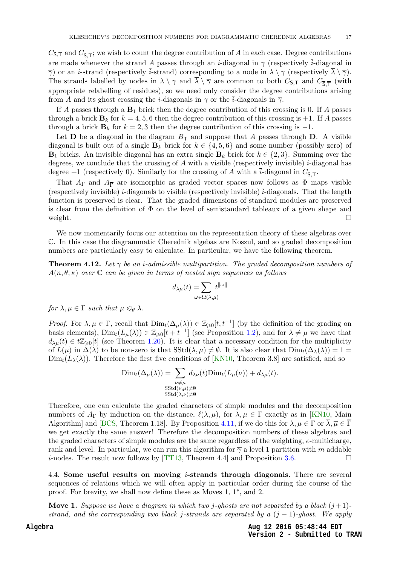$C_{\mathsf{S},\mathsf{T}}$  and  $C_{\overline{\mathsf{S}},\overline{\mathsf{T}}}$ ; we wish to count the degree contribution of A in each case. Degree contributions are made whenever the strand A passes through an *i*-diagonal in  $\gamma$  (respectively  $\overline{i}$ -diagonal in  $\overline{\gamma}$ ) or an *i*-strand (respectively *i*-strand) corresponding to a node in  $\lambda \setminus \gamma$  (respectively  $\overline{\lambda} \setminus \overline{\gamma}$ ). The strands labelled by nodes in  $\lambda \setminus \gamma$  and  $\lambda \setminus \overline{\gamma}$  are common to both  $C_{S,T}$  and  $C_{\overline{S},\overline{T}}$  (with appropriate relabelling of residues), so we need only consider the degree contributions arising from A and its ghost crossing the *i*-diagonals in  $\gamma$  or the *i*-diagonals in  $\overline{\gamma}$ .

If A passes through a  $B_1$  brick then the degree contribution of this crossing is 0. If A passes through a brick  $\mathbf{B}_k$  for  $k = 4, 5, 6$  then the degree contribution of this crossing is +1. If A passes through a brick  $\mathbf{B}_k$  for  $k = 2, 3$  then the degree contribution of this crossing is -1.

Let **D** be a diagonal in the diagram  $B<sub>T</sub>$  and suppose that A passes through **D**. A visible diagonal is built out of a single  $\mathbf{B}_k$  brick for  $k \in \{4, 5, 6\}$  and some number (possibly zero) of  $\mathbf{B}_1$  bricks. An invisible diagonal has an extra single  $\mathbf{B}_k$  brick for  $k \in \{2,3\}$ . Summing over the degrees, we conclude that the crossing of A with a visible (respectively invisible) *i*-diagonal has degree +1 (respectively 0). Similarly for the crossing of A with a *i*-diagonal in  $C_{\overline{S},\overline{T}}$ .

<span id="page-17-0"></span>That  $A_{\Gamma}$  and  $A_{\overline{\Gamma}}$  are isomorphic as graded vector spaces now follows as  $\Phi$  maps visible (respectively invisible) *i*-diagonals to visible (respectively invisible)  $\overline{i}$ -diagonals. That the length function is preserved is clear. That the graded dimensions of standard modules are preserved is clear from the definition of  $\Phi$  on the level of semistandard tableaux of a given shape and weight.  $\Box$ 

We now momentarily focus our attention on the representation theory of these algebras over C. In this case the diagrammatic Cherednik algebas are Koszul, and so graded decomposition numbers are particularly easy to calculate. In particular, we have the following theorem.

**Theorem 4.12.** Let  $\gamma$  be an *i*-admissible multipartition. The graded decomposition numbers of  $A(n, \theta, \kappa)$  over C can be given in terms of nested sign sequences as follows

$$
d_{\lambda\mu}(t)=\hspace*{-2.5ex}\sum_{\omega\in\Omega(\lambda,\mu)}\hspace*{-2.5ex}t^{\|\omega\|}
$$

<span id="page-17-1"></span>for  $\lambda, \mu \in \Gamma$  such that  $\mu \leq \theta$   $\lambda$ .

*Proof.* For  $\lambda, \mu \in \Gamma$ , recall that  $Dim_t(\Delta_{\mu}(\lambda)) \in \mathbb{Z}_{\geq 0}[t, t^{-1}]$  (by the definition of the grading on basis elements),  $Dim_t(L_\mu(\lambda)) \in \mathbb{Z}_{\geqslant 0}[t+t^{-1}]$  (see Proposition [1.2\)](#page-2-0), and for  $\lambda \neq \mu$  we have that  $d_{\lambda\mu}(t) \in t\mathbb{Z}_{\geq 0}[t]$  (see Theorem [1.20\)](#page-8-2). It is clear that a necessary condition for the multiplicity of  $L(\mu)$  in  $\Delta(\lambda)$  to be non-zero is that SStd $(\lambda, \mu) \neq \emptyset$ . It is also clear that  $Dim_t(\Delta_{\lambda}(\lambda)) = 1$  $\text{Dim}_t(L_\lambda(\lambda))$ . Therefore the first five conditions of [\[KN10,](#page-31-11) Theorem 3.8] are satisfied, and so

$$
\text{Dim}_{t}(\Delta_{\mu}(\lambda)) = \sum_{\substack{\nu \neq \mu \\ \text{SStd}(\nu,\mu) \neq \emptyset}} d_{\lambda \nu}(t) \text{Dim}_{t}(L_{\mu}(\nu)) + d_{\lambda \mu}(t).
$$
  

$$
\text{SStd}(\nu, \mu) \neq \emptyset
$$

<span id="page-17-2"></span>Therefore, one can calculate the graded characters of simple modules and the decomposition numbers of  $A_{\Gamma}$  by induction on the distance,  $\ell(\lambda, \mu)$ , for  $\lambda, \mu \in \Gamma$  exactly as in [\[KN10,](#page-31-11) Main Algorithm] and [\[BCS,](#page-30-3) Theorem 1.18]. By Proposition [4.11,](#page-15-2) if we do this for  $\lambda, \mu \in \Gamma$  or  $\overline{\lambda}, \overline{\mu} \in \overline{\Gamma}$ we get exactly the same answer! Therefore the decomposition numbers of these algebras and the graded characters of simple modules are the same regardless of the weighting,  $e$ -multicharge, rank and level. In particular, we can run this algorithm for  $\overline{\gamma}$  a level 1 partition with m addable *i*-nodes. The result now follows by [\[TT13,](#page-31-6) Theorem 4.4] and Proposition [3.6.](#page-11-1)

4.4. Some useful results on moving i-strands through diagonals. There are several sequences of relations which we will often apply in particular order during the course of the proof. For brevity, we shall now define these as Moves 1, 1<sup>∗</sup> , and 2.

<span id="page-17-3"></span>**Move 1.** Suppose we have a diagram in which two j-ghosts are not separated by a black  $(j+1)$ strand, and the corresponding two black j-strands are separated by a  $(j - 1)$ -ghost. We apply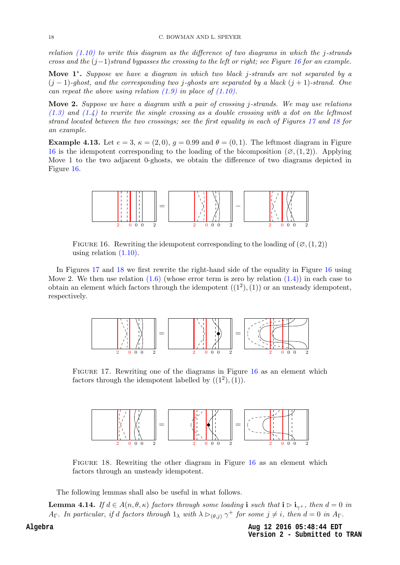relation  $(1.10)$  to write this diagram as the difference of two diagrams in which the j-strands cross and the  $(j-1)$ strand bypasses the crossing to the left or right; see Figure [16](#page-17-0) for an example.

<span id="page-18-0"></span>Move 1<sup>\*</sup>. Suppose we have a diagram in which two black j-strands are not separated by a  $(j-1)$ -ghost, and the corresponding two j-ghosts are separated by a black  $(j+1)$ -strand. One can repeat the above using relation  $(1.9)$  in place of  $(1.10)$ .

Move 2. Suppose we have a diagram with a pair of crossing j-strands. We may use relations  $(1.3)$  and  $(1.4)$  to rewrite the single crossing as a double crossing with a dot on the leftmost strand located between the two crossings; see the first equality in each of Figures [17](#page-17-1) and [18](#page-17-2) for an example.

**Example 4.13.** Let  $e = 3$ ,  $\kappa = (2, 0)$ ,  $g = 0.99$  and  $\theta = (0, 1)$ . The leftmost diagram in Figure [16](#page-17-0) is the idempotent corresponding to the loading of the bicomposition  $(\varnothing, (1, 2))$ . Applying Move 1 to the two adjacent 0-ghosts, we obtain the difference of two diagrams depicted in Figure [16.](#page-17-0)



FIGURE 16. Rewriting the idempotent corresponding to the loading of  $(\varnothing, (1, 2))$ using relation [\(1.10\).](#page-6-1)

In Figures [17](#page-17-1) and [18](#page-17-2) we first rewrite the right-hand side of the equality in Figure [16](#page-17-0) using Move 2. We then use relation  $(1.6)$  (whose error term is zero by relation  $(1.4)$ ) in each case to obtain an element which factors through the idempotent  $((1^2), (1))$  or an unsteady idempotent, respectively.



Figure 17. Rewriting one of the diagrams in Figure [16](#page-17-0) as an element which factors through the idempotent labelled by  $((1^2), (1))$ .



Figure 18. Rewriting the other diagram in Figure [16](#page-17-0) as an element which factors through an unsteady idempotent.

The following lemmas shall also be useful in what follows.

<span id="page-18-1"></span>**Lemma 4.14.** If  $d \in A(n, \theta, \kappa)$  factors through some loading i such that  $i \triangleright i_{\gamma^+}$ , then  $d = 0$  in  $A_{\Gamma}$ . In particular, if d factors through  $1_{\lambda}$  with  $\lambda \triangleright_{(\theta,j)} \gamma^+$  for some  $j \neq i$ , then  $d = 0$  in  $A_{\Gamma}$ .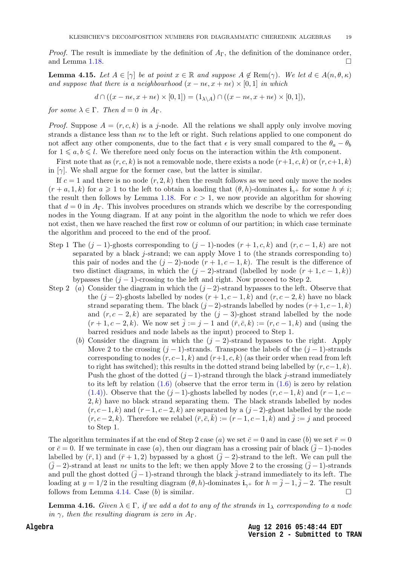*Proof.* The result is immediate by the definition of  $A_{\Gamma}$ , the definition of the dominance order, and Lemma [1.18.](#page-7-1)  $\Box$ 

**Lemma 4.15.** Let  $A \in [\gamma]$  be at point  $x \in \mathbb{R}$  and suppose  $A \notin \text{Rem}(\gamma)$ . We let  $d \in A(n, \theta, \kappa)$ and suppose that there is a neighbourhood  $(x - n\epsilon, x + n\epsilon) \times [0, 1]$  in which

$$
d \cap ((x - n\epsilon, x + n\epsilon) \times [0, 1]) = (1_{\lambda \setminus A}) \cap ((x - n\epsilon, x + n\epsilon) \times [0, 1]),
$$

for some  $\lambda \in \Gamma$ . Then  $d = 0$  in  $A_{\Gamma}$ .

*Proof.* Suppose  $A = (r, c, k)$  is a j-node. All the relations we shall apply only involve moving strands a distance less than  $n\epsilon$  to the left or right. Such relations applied to one component do not affect any other components, due to the fact that  $\epsilon$  is very small compared to the  $\theta_a - \theta_b$ for  $1 \leq a, b \leq l$ . We therefore need only focus on the interaction within the kth component.

First note that as  $(r, c, k)$  is not a removable node, there exists a node  $(r+1, c, k)$  or  $(r, c+1, k)$ in  $[\gamma]$ . We shall argue for the former case, but the latter is similar.

If  $c = 1$  and there is no node  $(r, 2, k)$  then the result follows as we need only move the nodes  $(r + a, 1, k)$  for  $a \geq 1$  to the left to obtain a loading that  $(\theta, h)$ -dominates  $i_{\gamma+}$  for some  $h \neq i$ ; the result then follows by Lemma [1.18.](#page-7-1) For  $c > 1$ , we now provide an algorithm for showing that  $d = 0$  in  $A_{\Gamma}$ . This involves procedures on strands which we describe by the corresponding nodes in the Young diagram. If at any point in the algorithm the node to which we refer does not exist, then we have reached the first row or column of our partition; in which case terminate the algorithm and proceed to the end of the proof.

- <span id="page-19-3"></span><span id="page-19-0"></span>Step 1 The  $(j-1)$ -ghosts corresponding to  $(j-1)$ -nodes  $(r+1, c, k)$  and  $(r, c-1, k)$  are not separated by a black j-strand; we can apply Move 1 to (the strands corresponding to) this pair of nodes and the  $(j-2)$ -node  $(r+1, c-1, k)$ . The result is the difference of two distinct diagrams, in which the  $(j-2)$ -strand (labelled by node  $(r+1, c-1, k)$ ) bypasses the  $(j - 1)$ -crossing to the left and right. Now proceed to Step 2.
- Step 2 (a) Consider the diagram in which the  $(j-2)$ -strand bypasses to the left. Observe that the  $(j-2)$ -ghosts labelled by nodes  $(r+1, c-1, k)$  and  $(r, c-2, k)$  have no black strand separating them. The black  $(j-2)$ -strands labelled by nodes  $(r+1, c-1, k)$ and  $(r, c - 2, k)$  are separated by the  $(j - 3)$ -ghost strand labelled by the node  $(r+1, c-2, k)$ . We now set  $j := j - 1$  and  $(\bar{r}, \bar{c}, k) := (r, c-1, k)$  and (using the barred residues and node labels as the input) proceed to Step 1.
	- (b) Consider the diagram in which the  $(j 2)$ -strand bypasses to the right. Apply Move 2 to the crossing  $(j - 1)$ -strands. Transpose the labels of the  $(j - 1)$ -strands corresponding to nodes  $(r, c-1, k)$  and  $(r+1, c, k)$  (as their order when read from left to right has switched); this results in the dotted strand being labelled by  $(r, c-1, k)$ . Push the ghost of the dotted  $(j-1)$ -strand through the black j-strand immediately to its left by relation  $(1.6)$  (observe that the error term in  $(1.6)$  is zero by relation [\(1.4\)\)](#page-5-1). Observe that the  $(j-1)$ -ghosts labelled by nodes  $(r, c-1, k)$  and  $(r-1, c-1)$  $2, k$ ) have no black strand separating them. The black strands labelled by nodes  $(r, c-1, k)$  and  $(r-1, c-2, k)$  are separated by a  $(j-2)$ -ghost labelled by the node  $(r, c-2, k)$ . Therefore we relabel  $(\bar{r}, \bar{c}, \bar{k}) := (r-1, c-1, k)$  and  $\bar{j} := j$  and proceed to Step 1.

<span id="page-19-1"></span>The algorithm terminates if at the end of Step 2 case (a) we set  $\bar{c} = 0$  and in case (b) we set  $\bar{r} = 0$ or  $\bar{c} = 0$ . If we terminate in case (a), then our diagram has a crossing pair of black  $(\bar{j} - 1)$ -nodes labelled by  $(\bar{r},1)$  and  $(\bar{r} + 1,2)$  bypassed by a ghost  $(j-2)$ -strand to the left. We can pull the  $(\bar{j} - 2)$ -strand at least  $n\epsilon$  units to the left; we then apply Move 2 to the crossing  $(\bar{j} - 1)$ -strands and pull the ghost dotted  $(\bar{j}-1)$ -strand through the black  $\bar{j}$ -strand immediately to its left. The loading at  $y = 1/2$  in the resulting diagram  $(\theta, h)$ -dominates  $\mathbf{i}_{\gamma+}$  for  $h = \overline{j} - 1, \overline{j} - 2$ . The result follows from Lemma [4.14.](#page-17-3) Case (b) is similar.

<span id="page-19-2"></span>**Lemma 4.16.** Given  $\lambda \in \Gamma$ , if we add a dot to any of the strands in  $1_{\lambda}$  corresponding to a node in  $\gamma$ , then the resulting diagram is zero in  $A_{\Gamma}$ .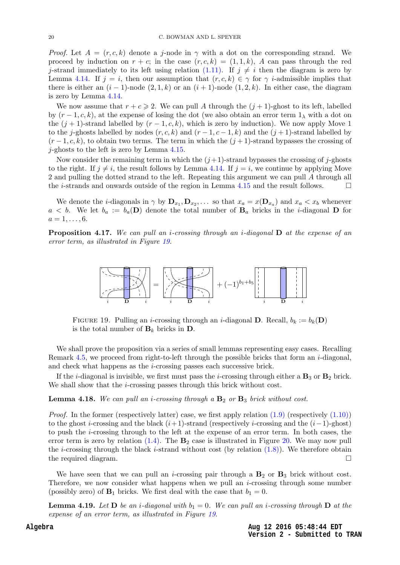<span id="page-20-0"></span>*Proof.* Let  $A = (r, c, k)$  denote a j-node in  $\gamma$  with a dot on the corresponding strand. We proceed by induction on  $r + c$ ; in the case  $(r, c, k) = (1, 1, k)$ , A can pass through the red j-strand immediately to its left using relation [\(1.11\).](#page-6-3) If  $j \neq i$  then the diagram is zero by Lemma [4.14.](#page-17-3) If  $j = i$ , then our assumption that  $(r, c, k) \in \gamma$  for  $\gamma$  *i*-admissible implies that there is either an  $(i - 1)$ -node  $(2, 1, k)$  or an  $(i + 1)$ -node  $(1, 2, k)$ . In either case, the diagram is zero by Lemma [4.14.](#page-17-3)

We now assume that  $r + c \ge 2$ . We can pull A through the  $(j + 1)$ -ghost to its left, labelled by  $(r-1, c, k)$ , at the expense of losing the dot (we also obtain an error term  $1_{\lambda}$  with a dot on the  $(j + 1)$ -strand labelled by  $(r - 1, c, k)$ , which is zero by induction). We now apply Move 1 to the j-ghosts labelled by nodes  $(r, c, k)$  and  $(r - 1, c - 1, k)$  and the  $(j + 1)$ -strand labelled by  $(r-1, c, k)$ , to obtain two terms. The term in which the  $(j+1)$ -strand bypasses the crossing of j-ghosts to the left is zero by Lemma [4.15.](#page-18-0)

<span id="page-20-2"></span>Now consider the remaining term in which the  $(j+1)$ -strand bypasses the crossing of j-ghosts to the right. If  $j \neq i$ , the result follows by Lemma [4.14.](#page-17-3) If  $j = i$ , we continue by applying Move 2 and pulling the dotted strand to the left. Repeating this argument we can pull A through all the *i*-strands and onwards outside of the region in Lemma [4.15](#page-18-0) and the result follows.  $\Box$ 

We denote the *i*-diagonals in  $\gamma$  by  $\mathbf{D}_{x_1}, \mathbf{D}_{x_2}, \ldots$  so that  $x_a = x(\mathbf{D}_{x_a})$  and  $x_a < x_b$  whenever  $a < b$ . We let  $b_a := b_a(D)$  denote the total number of  $B_a$  bricks in the *i*-diagonal D for  $a = 1, \ldots, 6.$ 

**Proposition 4.17.** We can pull an *i*-crossing through an *i*-diagonal  $D$  at the expense of an error term, as illustrated in Figure [19.](#page-19-0)



FIGURE 19. Pulling an *i*-crossing through an *i*-diagonal **D**. Recall,  $b_k := b_k(\mathbf{D})$ is the total number of  $\mathbf{B}_k$  bricks in  $\mathbf{D}$ .

<span id="page-20-1"></span>We shall prove the proposition via a series of small lemmas representing easy cases. Recalling Remark [4.5,](#page-13-3) we proceed from right-to-left through the possible bricks that form an *i*-diagonal. and check what happens as the i-crossing passes each successive brick.

If the *i*-diagonal is invisible, we first must pass the *i*-crossing through either a  $\mathbf{B}_3$  or  $\mathbf{B}_2$  brick. We shall show that the *i*-crossing passes through this brick without cost.

**Lemma 4.18.** We can pull an *i*-crossing through a  $B_2$  or  $B_3$  brick without cost.

*Proof.* In the former (respectively latter) case, we first apply relation  $(1.9)$  (respectively  $(1.10)$ ) to the ghost i-crossing and the black  $(i+1)$ -strand (respectively i-crossing and the  $(i-1)$ -ghost) to push the i-crossing through to the left at the expense of an error term. In both cases, the error term is zero by relation  $(1.4)$ . The  $\mathbf{B}_2$  case is illustrated in Figure [20.](#page-20-0) We may now pull the *i*-crossing through the black *i*-strand without cost (by relation  $(1.8)$ ). We therefore obtain the required diagram.

We have seen that we can pull an *i*-crossing pair through a  $B_2$  or  $B_3$  brick without cost. Therefore, we now consider what happens when we pull an *i*-crossing through some number (possibly zero) of  $\mathbf{B}_1$  bricks. We first deal with the case that  $b_1 = 0$ .

**Lemma 4.19.** Let  $D$  be an *i*-diagonal with  $b_1 = 0$ . We can pull an *i*-crossing through  $D$  at the expense of an error term, as illustrated in Figure [19.](#page-19-0)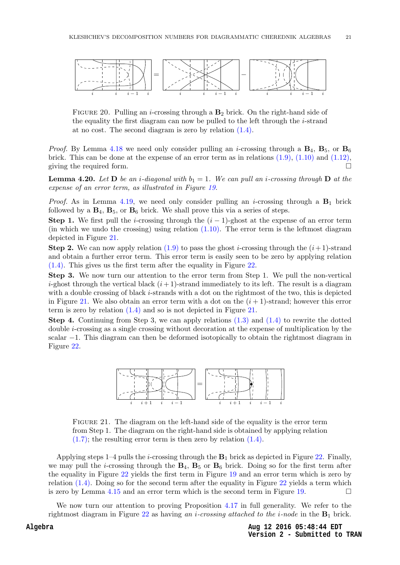<span id="page-21-0"></span>

FIGURE 20. Pulling an *i*-crossing through a  $\mathbf{B}_2$  brick. On the right-hand side of the equality the first diagram can now be pulled to the left through the  $i$ -strand at no cost. The second diagram is zero by relation [\(1.4\).](#page-5-1)

*Proof.* By Lemma [4.18](#page-19-1) we need only consider pulling an *i*-crossing through a  $\mathbf{B}_4$ ,  $\mathbf{B}_5$ , or  $\mathbf{B}_6$ brick. This can be done at the expense of an error term as in relations  $(1.9)$ ,  $(1.10)$  and  $(1.12)$ , giving the required form.  $\Box$ 

**Lemma 4.20.** Let **D** be an *i*-diagonal with  $b_1 = 1$ . We can pull an *i*-crossing through **D** at the expense of an error term, as illustrated in Figure [19.](#page-19-0)

*Proof.* As in Lemma [4.19,](#page-19-2) we need only consider pulling an *i*-crossing through a  $\mathbf{B}_1$  brick followed by a  $\mathbf{B}_4$ ,  $\mathbf{B}_5$ , or  $\mathbf{B}_6$  brick. We shall prove this via a series of steps.

**Step 1.** We first pull the *i*-crossing through the  $(i - 1)$ -ghost at the expense of an error term (in which we undo the crossing) using relation  $(1.10)$ . The error term is the leftmost diagram depicted in Figure [21.](#page-20-1)

**Step 2.** We can now apply relation [\(1.9\)](#page-6-0) to pass the ghost *i*-crossing through the  $(i+1)$ -strand and obtain a further error term. This error term is easily seen to be zero by applying relation [\(1.4\).](#page-5-1) This gives us the first term after the equality in Figure [22.](#page-21-0)

Step 3. We now turn our attention to the error term from Step 1. We pull the non-vertical *i*-ghost through the vertical black  $(i+1)$ -strand immediately to its left. The result is a diagram with a double crossing of black  $i$ -strands with a dot on the rightmost of the two, this is depicted in Figure [21.](#page-20-1) We also obtain an error term with a dot on the  $(i+1)$ -strand; however this error term is zero by relation [\(1.4\)](#page-5-1) and so is not depicted in Figure [21.](#page-20-1)

**Step 4.** Continuing from Step 3, we can apply relations  $(1.3)$  and  $(1.4)$  to rewrite the dotted double i-crossing as a single crossing without decoration at the expense of multiplication by the scalar −1. This diagram can then be deformed isotopically to obtain the rightmost diagram in Figure [22.](#page-21-0)



FIGURE 21. The diagram on the left-hand side of the equality is the error term from Step 1. The diagram on the right-hand side is obtained by applying relation  $(1.7)$ ; the resulting error term is then zero by relation  $(1.4)$ .

<span id="page-21-1"></span>Applying steps 1–4 pulls the *i*-crossing through the  $B_1$  brick as depicted in Figure [22.](#page-21-0) Finally, we may pull the *i*-crossing through the  $B_4$ ,  $B_5$  or  $B_6$  brick. Doing so for the first term after the equality in Figure [22](#page-21-0) yields the first term in Figure [19](#page-19-0) and an error term which is zero by relation  $(1.4)$ . Doing so for the second term after the equality in Figure [22](#page-21-0) yields a term which is zero by Lemma [4.15](#page-18-0) and an error term which is the second term in Figure [19.](#page-19-0)

We now turn our attention to proving Proposition [4.17](#page-19-3) in full generality. We refer to the rightmost diagram in Figure [22](#page-21-0) as having an *i*-crossing attached to the *i*-node in the  $B_1$  brick.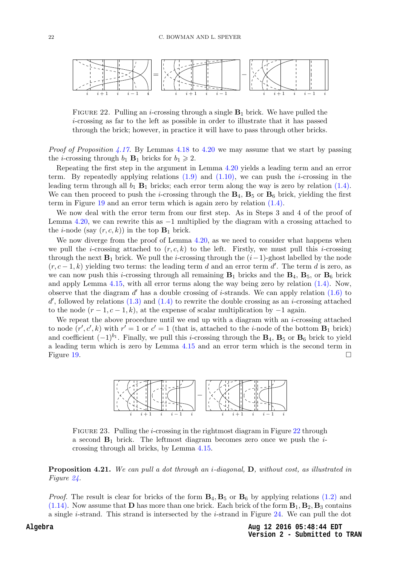<span id="page-22-0"></span>

FIGURE 22. Pulling an *i*-crossing through a single  $B_1$  brick. We have pulled the i-crossing as far to the left as possible in order to illustrate that it has passed through the brick; however, in practice it will have to pass through other bricks.

<span id="page-22-1"></span>*Proof of Proposition [4.17.](#page-19-3)* By Lemmas [4.18](#page-19-1) to [4.20](#page-20-2) we may assume that we start by passing the *i*-crossing through  $b_1$  **B**<sub>1</sub> bricks for  $b_1 \geq 2$ .

Repeating the first step in the argument in Lemma [4.20](#page-20-2) yields a leading term and an error term. By repeatedly applying relations  $(1.9)$  and  $(1.10)$ , we can push the *i*-crossing in the leading term through all  $b_1$  B<sub>1</sub> bricks; each error term along the way is zero by relation [\(1.4\).](#page-5-1) We can then proceed to push the *i*-crossing through the  $B_4$ ,  $B_5$  or  $B_6$  brick, yielding the first term in Figure [19](#page-19-0) and an error term which is again zero by relation [\(1.4\).](#page-5-1)

We now deal with the error term from our first step. As in Steps 3 and 4 of the proof of Lemma [4.20,](#page-20-2) we can rewrite this as −1 multiplied by the diagram with a crossing attached to the *i*-node (say  $(r, c, k)$ ) in the top  $\mathbf{B}_1$  brick.

<span id="page-22-3"></span><span id="page-22-2"></span>We now diverge from the proof of Lemma [4.20,](#page-20-2) as we need to consider what happens when we pull the *i*-crossing attached to  $(r, c, k)$  to the left. Firstly, we must pull this *i*-crossing through the next  $\mathbf{B}_1$  brick. We pull the *i*-crossing through the  $(i-1)$ -ghost labelled by the node  $(r, c-1, k)$  yielding two terms: the leading term d and an error term d'. The term d is zero, as we can now push this *i*-crossing through all remaining  $B_1$  bricks and the  $B_4$ ,  $B_5$ , or  $B_6$  brick and apply Lemma [4.15,](#page-18-0) with all error terms along the way being zero by relation [\(1.4\).](#page-5-1) Now, observe that the diagram  $d'$  has a double crossing of *i*-strands. We can apply relation  $(1.6)$  to  $d'$ , followed by relations  $(1.3)$  and  $(1.4)$  to rewrite the double crossing as an *i*-crossing attached to the node  $(r-1, c-1, k)$ , at the expense of scalar multiplication by  $-1$  again.

We repeat the above procedure until we end up with a diagram with an  $i$ -crossing attached to node  $(r', c', k)$  with  $r' = 1$  or  $c' = 1$  (that is, attached to the *i*-node of the bottom **B**<sub>1</sub> brick) and coefficient  $(-1)^{b_1}$ . Finally, we pull this *i*-crossing through the  $\mathbf{B}_4$ ,  $\mathbf{B}_5$  or  $\mathbf{B}_6$  brick to yield a leading term which is zero by Lemma [4.15](#page-18-0) and an error term which is the second term in Figure [19.](#page-19-0)  $\Box$ 



<span id="page-22-4"></span>Figure 23. Pulling the i-crossing in the rightmost diagram in Figure [22](#page-21-0) through a second  $B_1$  brick. The leftmost diagram becomes zero once we push the *i*crossing through all bricks, by Lemma [4.15.](#page-18-0)

Proposition 4.21. We can pull a dot through an i-diagonal, D, without cost, as illustrated in Figure [24.](#page-22-0)

<span id="page-22-5"></span>*Proof.* The result is clear for bricks of the form  $B_4$ ,  $B_5$  or  $B_6$  by applying relations [\(1.2\)](#page-5-2) and [\(1.14\).](#page-7-2) Now assume that **D** has more than one brick. Each brick of the form  $\mathbf{B}_1$ ,  $\mathbf{B}_2$ ,  $\mathbf{B}_3$  contains a single *i*-strand. This strand is intersected by the *i*-strand in Figure [24.](#page-22-0) We can pull the dot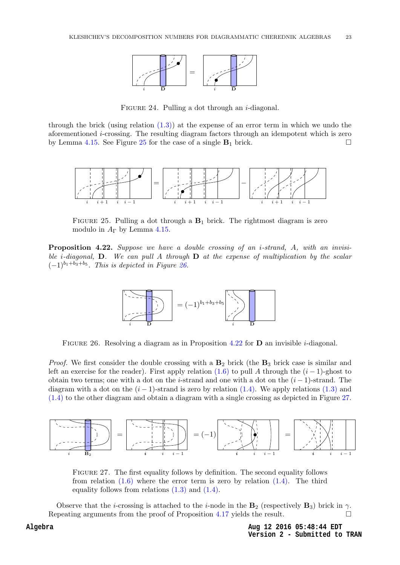

FIGURE 24. Pulling a dot through an  $i$ -diagonal.

<span id="page-23-0"></span>through the brick (using relation  $(1.3)$ ) at the expense of an error term in which we undo the aforementioned i-crossing. The resulting diagram factors through an idempotent which is zero by Lemma [4.15.](#page-18-0) See Figure [25](#page-22-1) for the case of a single  $B_1$  brick.



FIGURE 25. Pulling a dot through a  $B_1$  brick. The rightmost diagram is zero modulo in  $A_{\Gamma}$  by Lemma [4.15.](#page-18-0)

<span id="page-23-1"></span>Proposition 4.22. Suppose we have a double crossing of an *i*-strand, A, with an invisible *i*-diagonal, **D**. We can pull A through **D** at the expense of multiplication by the scalar  $(-1)^{b_1+b_3+b_5}$ . This is depicted in Figure [26.](#page-22-2)



FIGURE 26. Resolving a diagram as in Proposition [4.22](#page-22-3) for  $D$  an invisible *i*-diagonal.

<span id="page-23-3"></span>*Proof.* We first consider the double crossing with a  $\mathbf{B}_2$  brick (the  $\mathbf{B}_3$  brick case is similar and left an exercise for the reader). First apply relation [\(1.6\)](#page-6-2) to pull A through the  $(i - 1)$ -ghost to obtain two terms; one with a dot on the *i*-strand and one with a dot on the  $(i - 1)$ -strand. The diagram with a dot on the  $(i - 1)$ -strand is zero by relation [\(1.4\).](#page-5-1) We apply relations [\(1.3\)](#page-5-0) and [\(1.4\)](#page-5-1) to the other diagram and obtain a diagram with a single crossing as depicted in Figure [27.](#page-22-4)

<span id="page-23-2"></span>

Figure 27. The first equality follows by definition. The second equality follows from relation  $(1.6)$  where the error term is zero by relation  $(1.4)$ . The third equality follows from relations  $(1.3)$  and  $(1.4)$ .

Observe that the *i*-crossing is attached to the *i*-node in the  $\mathbf{B}_2$  (respectively  $\mathbf{B}_3$ ) brick in  $\gamma$ . Repeating arguments from the proof of Proposition [4.17](#page-19-3) yields the result.  $\Box$ 

> **Aug 12 2016 05:48:44 EDT Version 2 - Submitted to TRAN**

#### **Algebra**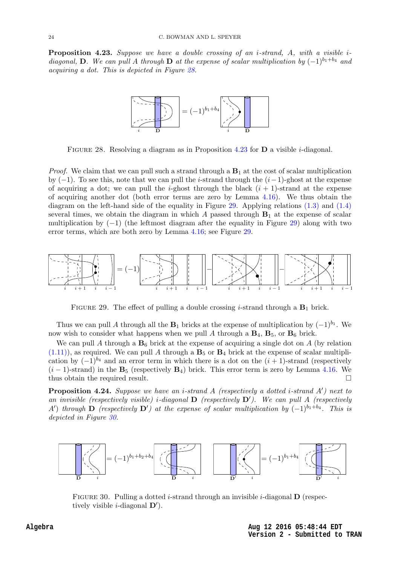**Proposition 4.23.** Suppose we have a double crossing of an *i*-strand,  $A$ , with a visible *i*diagonal, D. We can pull A through D at the expense of scalar multiplication by  $(-1)^{b_1+b_4}$  and acquiring a dot. This is depicted in Figure [28.](#page-23-0)



FIGURE 28. Resolving a diagram as in Proposition [4.23](#page-22-5) for  $D$  a visible *i*-diagonal.

*Proof.* We claim that we can pull such a strand through a  $B_1$  at the cost of scalar multiplication by  $(-1)$ . To see this, note that we can pull the *i*-strand through the  $(i-1)$ -ghost at the expense of acquiring a dot; we can pull the *i*-ghost through the black  $(i + 1)$ -strand at the expense of acquiring another dot (both error terms are zero by Lemma  $4.16$ ). We thus obtain the diagram on the left-hand side of the equality in Figure [29.](#page-23-1) Applying relations  $(1.3)$  and  $(1.4)$ several times, we obtain the diagram in which A passed through  $B_1$  at the expense of scalar multiplication by  $(-1)$  (the leftmost diagram after the equality in Figure [29\)](#page-23-1) along with two error terms, which are both zero by Lemma [4.16;](#page-18-1) see Figure [29.](#page-23-1)



FIGURE 29. The effect of pulling a double crossing *i*-strand through a  $B_1$  brick.

<span id="page-24-0"></span>Thus we can pull A through all the  $B_1$  bricks at the expense of multiplication by  $(-1)^{b_1}$ . We now wish to consider what happens when we pull A through a  $\mathbf{B}_4$ ,  $\mathbf{B}_5$ , or  $\mathbf{B}_6$  brick.

We can pull A through a  $B_6$  brick at the expense of acquiring a single dot on A (by relation  $(1.11)$ , as required. We can pull A through a  $\mathbf{B}_5$  or  $\mathbf{B}_4$  brick at the expense of scalar multiplication by  $(-1)^{b_4}$  and an error term in which there is a dot on the  $(i + 1)$ -strand (respectively  $(i-1)$ -strand) in the  $\mathbf{B}_5$  (respectively  $\mathbf{B}_4$ ) brick. This error term is zero by Lemma [4.16.](#page-18-1) We thus obtain the required result.

<span id="page-24-1"></span>**Proposition 4.24.** Suppose we have an *i*-strand A (respectively a dotted *i*-strand  $A'$ ) next to an invisible (respectively visible) i-diagonal  $\bf{D}$  (respectively  $\bf{D}'$ ). We can pull A (respectively A') through  $\bf{D}$  (respectively  $\bf{D}'$ ) at the expense of scalar multiplication by  $(-1)^{b_1+b_4}$ . This is depicted in Figure [30.](#page-23-2)



FIGURE 30. Pulling a dotted *i*-strand through an invisible *i*-diagonal  $\bf{D}$  (respectively visible *i*-diagonal  $D'$ ).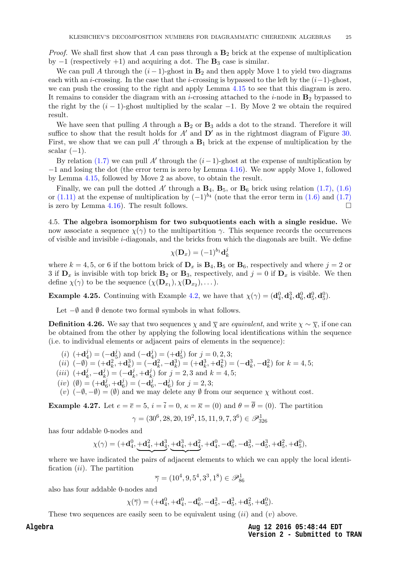<span id="page-25-1"></span>*Proof.* We shall first show that A can pass through a  $\mathbf{B}_2$  brick at the expense of multiplication by  $-1$  (respectively  $+1$ ) and acquiring a dot. The  $\mathbf{B}_3$  case is similar.

We can pull A through the  $(i - 1)$ -ghost in  $B_2$  and then apply Move 1 to yield two diagrams each with an *i*-crossing. In the case that the *i*-crossing is bypassed to the left by the  $(i-1)$ -ghost, we can push the crossing to the right and apply Lemma [4.15](#page-18-0) to see that this diagram is zero. It remains to consider the diagram with an *i*-crossing attached to the *i*-node in  $\mathbf{B}_2$  bypassed to the right by the  $(i - 1)$ -ghost multiplied by the scalar  $-1$ . By Move 2 we obtain the required result.

We have seen that pulling A through a  $B_2$  or  $B_3$  adds a dot to the strand. Therefore it will suffice to show that the result holds for  $A'$  and  $D'$  as in the rightmost diagram of Figure [30.](#page-23-2) First, we show that we can pull  $A'$  through a  $B_1$  brick at the expense of multiplication by the scalar  $(-1)$ .

<span id="page-25-0"></span>By relation [\(1.7\)](#page-6-6) we can pull A' through the  $(i-1)$ -ghost at the expense of multiplication by −1 and losing the dot (the error term is zero by Lemma [4.16\)](#page-18-1). We now apply Move 1, followed by Lemma [4.15,](#page-18-0) followed by Move 2 as above, to obtain the result.

Finally, we can pull the dotted A' through a  $\mathbf{B}_4$ ,  $\mathbf{B}_5$ , or  $\mathbf{B}_6$  brick using relation [\(1.7\),](#page-6-6) [\(1.6\)](#page-6-2) or [\(1.11\)](#page-6-3) at the expense of multiplication by  $(-1)^{b_4}$  (note that the error term in [\(1.6\)](#page-6-2) and [\(1.7\)](#page-6-6) is zero by Lemma [4.16\)](#page-18-1). The result follows.

4.5. The algebra isomorphism for two subquotients each with a single residue. We now associate a sequence  $\chi(\gamma)$  to the multipartition  $\gamma$ . This sequence records the occurrences of visible and invisible  $i$ -diagonals, and the bricks from which the diagonals are built. We define

$$
\chi(\mathbf{D}_x) = (-1)^{b_1} \mathbf{d}_k^j
$$

where  $k = 4, 5$ , or 6 if the bottom brick of  $\mathbf{D}_x$  is  $\mathbf{B}_4$ ,  $\mathbf{B}_5$  or  $\mathbf{B}_6$ , respectively and where  $j = 2$  or 3 if  $\mathbf{D}_x$  is invisible with top brick  $\mathbf{B}_2$  or  $\mathbf{B}_3$ , respectively, and  $j=0$  if  $\mathbf{D}_x$  is visible. We then define  $\chi(\gamma)$  to be the sequence  $(\chi(\mathbf{D}_{x_1}), \chi(\mathbf{D}_{x_2}), \dots).$ 

**Example 4.25.** Continuing with Example [4.2,](#page-12-2) we have that  $\chi(\gamma) = (\mathbf{d}_4^0, \mathbf{d}_4^3, \mathbf{d}_6^0, \mathbf{d}_5^0, \mathbf{d}_6^0)$ .

Let  $-$ Ø and Ø denote two formal symbols in what follows.

**Definition 4.26.** We say that two sequences  $\chi$  and  $\overline{\chi}$  are *equivalent*, and write  $\chi \sim \overline{\chi}$ , if one can be obtained from the other by applying the following local identifications within the sequence (i.e. to individual elements or adjacent pairs of elements in the sequence):

 $(i)$   $(+{\bf d}_4^j)$  $_4^j) = (-\mathbf{d}_5^j)$  $j_{5}^{j}$ ) and  $\left(-\mathbf{d}_{4}^{j}\right)$  $\binom{j}{4} = (+\mathbf{d}_5^j)$  $j_{5}^{j}$  for  $j=0,2,3;$ 

(*ii*) 
$$
(-\emptyset) = (+\mathbf{d}_k^2, +\mathbf{d}_k^3) = (-\mathbf{d}_k^2, -\mathbf{d}_k^3) = (+\mathbf{d}_k^3, +\mathbf{d}_k^2) = (-\mathbf{d}_k^3, -\mathbf{d}_k^2)
$$
 for  $k = 4, 5$ ;

- $(iii)$   $(+\mathbf{d}_k^j)$  $_{k}^{j},-\mathbf{d}_{k}^{j}$  $\binom{j}{k} = (-\mathbf{d}_k^j)$  $_{k}^{j},+\mathbf{d}_{k}^{j}$  $(k)$  for  $j = 2, 3$  and  $k = 4, 5;$
- $(iv)$  ( $\emptyset$ ) = (+ $\mathbf{d}_{6}^{j}$  $_6^j, +$ d $_6^j$  $\epsilon_{6}^{j})=(-\mathbf{d}_{6}^{j}% \epsilon_{\mathbf{d}}^{j}+\epsilon_{\mathbf{d}}^{j}\epsilon_{\mathbf{d}}^{j})$  $_6^j, -\mathbf{d}_6^j$  $j_6^j$  for  $j = 2, 3;$

(v)  $(-\emptyset, -\emptyset) = (\emptyset)$  and we may delete any  $\emptyset$  from our sequence  $\chi$  without cost.

**Example 4.27.** Let  $e = \overline{e} = 5$ ,  $i = \overline{i} = 0$ ,  $\kappa = \overline{\kappa} = (0)$  and  $\theta = \overline{\theta} = (0)$ . The partition

$$
\gamma = (30^6, 28, 20, 19^2, 15, 11, 9, 7, 3^6) \in \mathscr{P}_{326}^1
$$

has four addable 0-nodes and

$$
\chi(\gamma)=(+{\bf d}^0_4,\underbrace{{\bf + d}^2_4, {\bf + d}^3_4, {\bf + d}^3_4, {\bf + d}^2_4, {\bf + d}^0_4, -{\bf d}^0_6, -{\bf d}^3_5, -{\bf d}^3_5, {\bf + d}^2_5, {\bf + d}^0_5),
$$

where we have indicated the pairs of adjacent elements to which we can apply the local identification  $(ii)$ . The partition

$$
\overline{\gamma} = (10^4, 9, 5^4, 3^3, 1^8) \in \mathscr{P}_{86}^1
$$

also has four addable 0-nodes and

$$
\chi(\overline{\gamma}) = (+\mathbf{d}_4^0, +\mathbf{d}_4^0, -\mathbf{d}_6^0, -\mathbf{d}_5^3, -\mathbf{d}_5^3, +\mathbf{d}_5^2, +\mathbf{d}_5^0).
$$

These two sequences are easily seen to be equivalent using  $(ii)$  and  $(v)$  above.

**Aug 12 2016 05:48:44 EDT Version 2 - Submitted to TRAN**

**Algebra**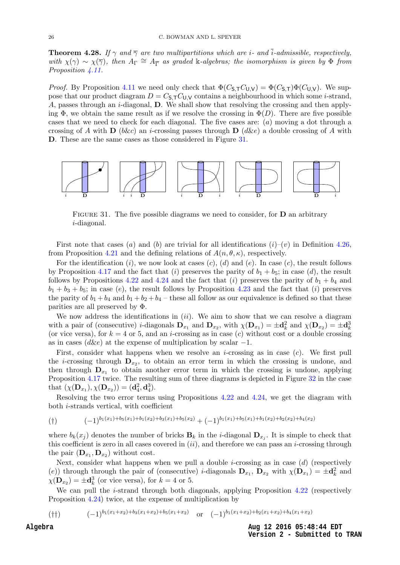<span id="page-26-3"></span><span id="page-26-1"></span>**Theorem 4.28.** If  $\gamma$  and  $\overline{\gamma}$  are two multipartitions which are i- and i-admissible, respectively, with  $\chi(\gamma) \sim \chi(\overline{\gamma})$ , then  $A_{\Gamma} \cong A_{\overline{\Gamma}}$  as graded k-algebras; the isomorphism is given by  $\Phi$  from Proposition  $\angle 11$ .

*Proof.* By Proposition [4.11](#page-15-2) we need only check that  $\Phi(C_{S,T}C_{U,V}) = \Phi(C_{S,T})\Phi(C_{U,V})$ . We suppose that our product diagram  $D = C_{\mathsf{S},\mathsf{T}} C_{\mathsf{U},\mathsf{V}}$  contains a neighbourhood in which some *i*-strand, A, passes through an *i*-diagonal,  $D$ . We shall show that resolving the crossing and then applying  $\Phi$ , we obtain the same result as if we resolve the crossing in  $\Phi(D)$ . There are five possible cases that we need to check for each diagonal. The five cases are: (a) moving a dot through a crossing of A with  $\bf{D}$  (b&c) an *i*-crossing passes through  $\bf{D}$  (d&e) a double crossing of A with D. These are the same cases as those considered in Figure [31.](#page-25-0)



FIGURE 31. The five possible diagrams we need to consider, for  **an arbitrary** i-diagonal.

<span id="page-26-2"></span>First note that cases (a) and (b) are trivial for all identifications  $(i)-(v)$  in Definition [4.26,](#page-24-0) from Proposition [4.21](#page-21-1) and the defining relations of  $A(n, \theta, \kappa)$ , respectively.

For the identification  $(i)$ , we now look at cases  $(c)$ ,  $(d)$  and  $(e)$ . In case  $(c)$ , the result follows by Proposition [4.17](#page-19-3) and the fact that (i) preserves the parity of  $b_1 + b_5$ ; in case (d), the result follows by Propositions [4.22](#page-22-3) and [4.24](#page-23-3) and the fact that (i) preserves the parity of  $b_1 + b_4$  and  $b_1 + b_3 + b_5$ ; in case (e), the result follows by Proposition [4.23](#page-22-5) and the fact that (i) preserves the parity of  $b_1 + b_4$  and  $b_1 + b_2 + b_4$  – these all follow as our equivalence is defined so that these parities are all preserved by Φ.

We now address the identifications in  $(ii)$ . We aim to show that we can resolve a diagram with a pair of (consecutive) *i*-diagonals  $\mathbf{D}_{x_1}$  and  $\mathbf{D}_{x_2}$ , with  $\chi(\mathbf{D}_{x_1}) = \pm \mathbf{d}_k^2$  and  $\chi(\mathbf{D}_{x_2}) = \pm \mathbf{d}_k^3$ (or vice versa), for  $k = 4$  or 5, and an *i*-crossing as in case (c) without cost or a double crossing as in cases ( $d\&e$ ) at the expense of multiplication by scalar  $-1$ .

<span id="page-26-0"></span>First, consider what happens when we resolve an *i*-crossing as in case  $(c)$ . We first pull the *i*-crossing through  $D_{x_2}$ , to obtain an error term in which the crossing is undone, and then through  $D_{x_1}$  to obtain another error term in which the crossing is undone, applying Proposition [4.17](#page-19-3) twice. The resulting sum of three diagrams is depicted in Figure [32](#page-26-1) in the case that  $(\chi(\mathbf{D}_{x_1}), \chi(\mathbf{D}_{x_2})) = (\mathbf{d}_4^2, \mathbf{d}_4^3).$ 

Resolving the two error terms using Propositions [4.22](#page-22-3) and [4.24,](#page-23-3) we get the diagram with both i-strands vertical, with coefficient

$$
(+) \qquad (-1)^{b_1(x_1)+b_5(x_1)+b_1(x_2)+b_3(x_1)+b_5(x_2)} + (-1)^{b_1(x_1)+b_5(x_1)+b_1(x_2)+b_2(x_2)+b_4(x_2)}
$$

where  $b_k(x_j)$  denotes the number of bricks  $\mathbf{B}_k$  in the *i*-diagonal  $\mathbf{D}_{x_j}$ . It is simple to check that this coefficient is zero in all cases covered in  $(ii)$ , and therefore we can pass an *i*-crossing through the pair  $(D_{x_1}, D_{x_2})$  without cost.

Next, consider what happens when we pull a double *i*-crossing as in case  $(d)$  (respectively (e)) through through the pair of (consecutive) *i*-diagonals  $\mathbf{D}_{x_1}$ ,  $\mathbf{D}_{x_2}$  with  $\chi(\mathbf{D}_{x_1}) = \pm \mathbf{d}_k^2$  and  $\chi(\mathbf{D}_{x_2}) = \pm \mathbf{d}_k^3$  (or vice versa), for  $k = 4$  or 5.

We can pull the  $i$ -strand through both diagonals, applying Proposition [4.22](#page-22-3) (respectively Proposition [4.24\)](#page-23-3) twice, at the expense of multiplication by

(††)  $(-1)^{b_1(x_1+x_2)+b_3(x_1+x_2)+b_5(x_1+x_2)}$  or  $(-1)^{b_1(x_1+x_2)+b_2(x_1+x_2)+b_4(x_1+x_2)}$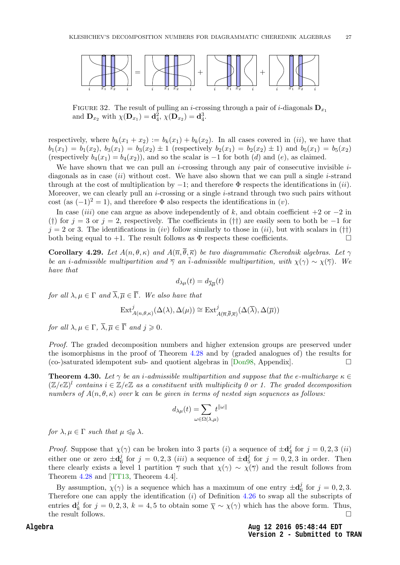<span id="page-27-3"></span>

FIGURE 32. The result of pulling an *i*-crossing through a pair of *i*-diagonals  $D_{x_1}$ and  ${\bf D}_{x_2}$  with  $\chi({\bf D}_{x_1}) = {\bf d}_4^2$ ,  $\chi({\bf D}_{x_2}) = {\bf d}_4^3$ .

respectively, where  $b_k(x_1 + x_2) := b_k(x_1) + b_k(x_2)$ . In all cases covered in (ii), we have that  $b_1(x_1) = b_1(x_2), b_3(x_1) = b_3(x_2) \pm 1$  (respectively  $b_2(x_1) = b_2(x_2) \pm 1$ ) and  $b_5(x_1) = b_5(x_2)$ (respectively  $b_4(x_1) = b_4(x_2)$ ), and so the scalar is  $-1$  for both (d) and (e), as claimed.

We have shown that we can pull an *i*-crossing through any pair of consecutive invisible  $i$ diagonals as in case  $(ii)$  without cost. We have also shown that we can pull a single *i*-strand through at the cost of multiplication by  $-1$ ; and therefore  $\Phi$  respects the identifications in (ii). Moreover, we can clearly pull an *i*-crossing or a single *i*-strand through two such pairs without cost (as  $(-1)^2 = 1$ ), and therefore  $\Phi$  also respects the identifications in (v).

In case *(iii)* one can argue as above independently of k, and obtain coefficient  $+2$  or  $-2$  in (†) for  $j = 3$  or  $j = 2$ , respectively. The coefficients in (††) are easily seen to both be −1 for  $j = 2$  or 3. The identifications in *(iv)* follow similarly to those in *(ii)*, but with scalars in (††) both being equal to  $+1$ . The result follows as  $\Phi$  respects these coefficients.

<span id="page-27-0"></span>Corollary 4.29. Let  $A(n, \theta, \kappa)$  and  $A(\overline{n}, \overline{\theta}, \overline{\kappa})$  be two diagrammatic Cherednik algebras. Let  $\gamma$ be an i-admissible multipartition and  $\overline{\gamma}$  an  $\overline{i}$ -admissible multipartition, with  $\chi(\gamma) \sim \chi(\overline{\gamma})$ . We have that

$$
d_{\lambda\mu}(t)=d_{\overline{\lambda}\overline{\mu}}(t)
$$

for all  $\lambda, \mu \in \Gamma$  and  $\overline{\lambda}, \overline{\mu} \in \overline{\Gamma}$ . We also have that

$$
\mathrm{Ext}^j_{A(n, \theta, \kappa)}(\Delta(\lambda), \Delta(\mu)) \cong \mathrm{Ext}^j_{A(\overline{n}, \overline{\theta}, \overline{\kappa})}(\Delta(\overline{\lambda}), \Delta(\overline{\mu}))
$$

<span id="page-27-2"></span>for all  $\lambda, \mu \in \Gamma$ ,  $\overline{\lambda}, \overline{\mu} \in \overline{\Gamma}$  and  $i \geq 0$ .

Proof. The graded decomposition numbers and higher extension groups are preserved under the isomorphisms in the proof of Theorem [4.28](#page-25-1) and by (graded analogues of) the results for  $(co-)saturated idempotent sub- and quotient algebras in [Don98, Appendix].$  $(co-)saturated idempotent sub- and quotient algebras in [Don98, Appendix].$  $(co-)saturated idempotent sub- and quotient algebras in [Don98, Appendix].$ 

**Theorem 4.30.** Let  $\gamma$  be an *i*-admissible multipartition and suppose that the e-multicharge  $\kappa \in$  $(\mathbb{Z}/e\mathbb{Z})^l$  contains  $i \in \mathbb{Z}/e\mathbb{Z}$  as a constituent with multiplicity 0 or 1. The graded decomposition numbers of  $A(n, \theta, \kappa)$  over k can be given in terms of nested sign sequences as follows:

$$
d_{\lambda\mu}(t) = \sum_{\omega \in \Omega(\lambda,\mu)} t^{\|\omega\|}
$$

for  $\lambda, \mu \in \Gamma$  such that  $\mu \leq \theta$   $\lambda$ .

<span id="page-27-1"></span>*Proof.* Suppose that  $\chi(\gamma)$  can be broken into 3 parts (i) a sequence of  $\pm \mathbf{d}^j$  $j_4$  for  $j = 0, 2, 3$  (ii) either one or zero  $\pm \mathbf{d}_6^j$  $\frac{j}{6}$  for  $j = 0, 2, 3$  (*iii*) a sequence of  $\pm \mathbf{d}_{5}^{j}$  $\frac{J}{5}$  for  $j = 0, 2, 3$  in order. Then there clearly exists a level 1 partition  $\overline{\gamma}$  such that  $\chi(\gamma) \sim \chi(\overline{\gamma})$  and the result follows from Theorem [4.28](#page-25-1) and [\[TT13,](#page-31-6) Theorem 4.4].

By assumption,  $\chi(\gamma)$  is a sequence which has a maximum of one entry  $\pm \mathbf{d}_{\epsilon}^{j}$  $j_{6}^{j}$  for  $j=0,2,3$ . Therefore one can apply the identification (i) of Definition [4.26](#page-24-0) to swap all the subscripts of entries  $\mathbf{d}_k^j$  $\bar{k}$  for  $j = 0, 2, 3, k = 4, 5$  to obtain some  $\bar{\chi} \sim \chi(\gamma)$  which has the above form. Thus, the result follows.  $\Box$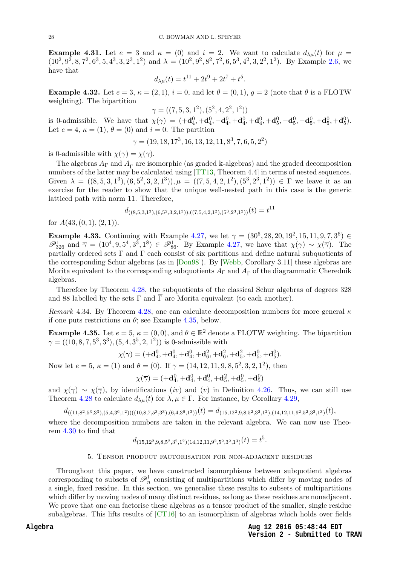**Example 4.31.** Let  $e = 3$  and  $\kappa = (0)$  and  $i = 2$ . We want to calculate  $d_{\lambda\mu}(t)$  for  $\mu =$  $(10^2, 9^2, 8, 7^2, 6^3, 5, 4^3, 3, 2^3, 1^2)$  and  $\lambda = (10^2, 9^2, 8^2, 7^2, 6, 5^3, 4^2, 3, 2^2, 1^2)$ . By Example [2.6,](#page-9-2) we have that

$$
d_{\lambda\mu}(t) = t^{11} + 2t^9 + 2t^7 + t^5.
$$

**Example 4.32.** Let  $e = 3$ ,  $\kappa = (2, 1)$ ,  $i = 0$ , and let  $\theta = (0, 1)$ ,  $q = 2$  (note that  $\theta$  is a FLOTW weighting). The bipartition

$$
\gamma = ((7, 5, 3, 1^2), (5^2, 4, 2^2, 1^2))
$$

is 0-admissible. We have that  $\chi(\gamma) = (+\mathbf{d}_4^0, +\mathbf{d}_4^0, -\mathbf{d}_4^0, +\mathbf{d}_4^0, +\mathbf{d}_4^0, +\mathbf{d}_5^0, -\mathbf{d}_5^0, -\mathbf{d}_5^0, +\mathbf{d}_5^0, +\mathbf{d}_5^0)$ . Let  $\bar{e} = 4$ ,  $\bar{\kappa} = (1)$ ,  $\bar{\theta} = (0)$  and  $\bar{i} = 0$ . The partition

$$
\gamma = (19, 18, 17^3, 16, 13, 12, 11, 8^3, 7, 6, 5, 2^2)
$$

is 0-admissible with  $\chi(\gamma) = \chi(\overline{\gamma}).$ 

The algebras  $A_{\Gamma}$  and  $A_{\overline{\Gamma}}$  are isomorphic (as graded k-algebras) and the graded decomposition numbers of the latter may be calculated using [\[TT13,](#page-31-6) Theorem 4.4] in terms of nested sequences. Given  $\lambda = ((8, 5, 3, 1^3), (6, 5^2, 3, 2, 1^3)), \mu = ((7, 5, 4, 2, 1^2), (5^3, 2^3, 1^2)) \in \Gamma$  we leave it as an exercise for the reader to show that the unique well-nested path in this case is the generic latticed path with norm 11. Therefore,

$$
d_{\left((8,5,3,1^3),(6,5^2,3,2,1^3),((7,5,4,2,1^2),(5^3,2^3,1^2)\right)}(t) = t^{11}
$$

<span id="page-28-2"></span>for  $A(43, (0, 1), (2, 1)).$ 

**Example 4.33.** Continuing with Example [4.27,](#page-24-1) we let  $\gamma = (30^6, 28, 20, 19^2, 15, 11, 9, 7, 3^6) \in$  $\mathscr{P}_{326}^1$  and  $\overline{\gamma} = (10^4, 9, 5^4, 3^3, 1^8) \in \mathscr{P}_{86}^1$ . By Example [4.27,](#page-24-1) we have that  $\chi(\gamma) \sim \chi(\overline{\gamma})$ . The partially ordered sets  $\Gamma$  and  $\overline{\Gamma}$  each consist of six partitions and define natural subquotients of the corresponding Schur algebras (as in [\[Don98\]](#page-31-10)). By [\[Webb,](#page-31-1) Corollary 3.11] these algebras are Morita equivalent to the corresponding subquotients  $A_{\Gamma}$  and  $A_{\overline{\Gamma}}$  of the diagrammatic Cherednik algebras.

Therefore by Theorem [4.28,](#page-25-1) the subquotients of the classical Schur algebras of degrees 328 and 88 labelled by the sets  $\Gamma$  and  $\overline{\Gamma}$  are Morita equivalent (to each another).

Remark 4.34. By Theorem [4.28,](#page-25-1) one can calculate decomposition numbers for more general  $\kappa$ if one puts restrictions on  $\theta$ ; see Example [4.35,](#page-27-2) below.

**Example 4.35.** Let  $e = 5$ ,  $\kappa = (0, 0)$ , and  $\theta \in \mathbb{R}^2$  denote a FLOTW weighting. The bipartition  $\gamma = ((10, 8, 7, 5^3, 3^3), (5, 4, 3^5, 2, 1^2))$  is 0-admissible with

$$
\chi(\gamma) = (+\mathbf{d}_4^0, +\mathbf{d}_4^0, +\mathbf{d}_4^0, +\mathbf{d}_6^2, +\mathbf{d}_6^2, +\mathbf{d}_5^2, +\mathbf{d}_5^0, +\mathbf{d}_5^0).
$$

Now let  $e = 5$ ,  $\kappa = (1)$  and  $\theta = (0)$ . If  $\overline{\gamma} = (14, 12, 11, 9, 8, 5^2, 3, 2, 1^2)$ , then

$$
\chi(\overline{\gamma}) = (+\mathbf{d}_4^0, +\mathbf{d}_4^0, +\mathbf{d}_4^0, +\mathbf{d}_5^2, +\mathbf{d}_5^0, +\mathbf{d}_5^0)
$$

<span id="page-28-1"></span>and  $\chi(\gamma) \sim \chi(\overline{\gamma})$ , by identifications (iv) and (v) in Definition [4.26.](#page-24-0) Thus, we can still use Theorem [4.28](#page-25-1) to calculate  $d_{\lambda\mu}(t)$  for  $\lambda, \mu \in \Gamma$ . For instance, by Corollary [4.29,](#page-26-2)

 $d_{((11,8^2,5^3,3^3),(5,4,3^6,1^2))((10,8,7,5^3,3^3),(6,4,3^6,1^3))}(t)=d_{(15,12^2,9,8,5^2,3^2,1^2),(14,12,11,9^2,5^2,3^2,1^3)}(t),$ 

where the decomposition numbers are taken in the relevant algebra. We can now use Theorem [4.30](#page-26-0) to find that

$$
d_{(15,12^2,9,8,5^2,3^2,1^2)(14,12,11,9^2,5^2,3^2,1^3)}(t) = t^5.
$$

#### 5. Tensor product factorisation for non-adjacent residues

<span id="page-28-0"></span>Throughout this paper, we have constructed isomorphisms between subquotient algebras corresponding to subsets of  $\mathcal{P}_n^l$  consisting of multipartitions which differ by moving nodes of a single, fixed residue. In this section, we generalise these results to subsets of multipartitions which differ by moving nodes of many distinct residues, as long as these residues are nonadjacent. We prove that one can factorise these algebras as a tensor product of the smaller, single residue subalgebras. This lifts results of [\[CT16\]](#page-30-2) to an isomorphism of algebras which holds over fields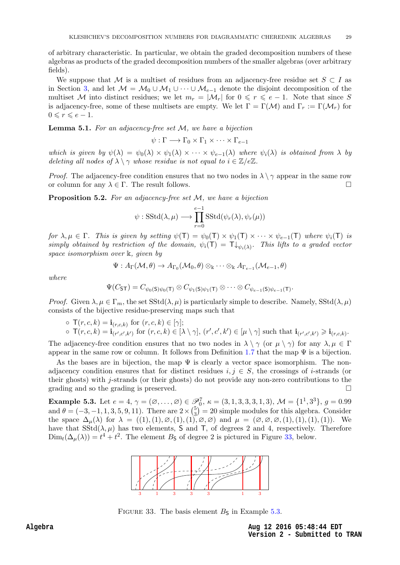<span id="page-29-2"></span>of arbitrary characteristic. In particular, we obtain the graded decomposition numbers of these algebras as products of the graded decomposition numbers of the smaller algebras (over arbitrary fields).

<span id="page-29-1"></span>We suppose that M is a multiset of residues from an adjacency-free residue set  $S \subset I$  as in Section [3,](#page-10-0) and let  $\mathcal{M} = \mathcal{M}_0 \cup \mathcal{M}_1 \cup \cdots \cup \mathcal{M}_{e-1}$  denote the disjoint decomposition of the multiset M into distinct residues; we let  $m_r = |\mathcal{M}_r|$  for  $0 \leq r \leq e-1$ . Note that since S is adjacency-free, some of these multisets are empty. We let  $\Gamma = \Gamma(\mathcal{M})$  and  $\Gamma_r := \Gamma(\mathcal{M}_r)$  for  $0 \leq r \leq e-1$ .

**Lemma 5.1.** For an adjacency-free set  $M$ , we have a bijection

$$
\psi : \Gamma \longrightarrow \Gamma_0 \times \Gamma_1 \times \cdots \times \Gamma_{e-1}
$$

<span id="page-29-0"></span>which is given by  $\psi(\lambda) = \psi_0(\lambda) \times \psi_1(\lambda) \times \cdots \times \psi_{e-1}(\lambda)$  where  $\psi_i(\lambda)$  is obtained from  $\lambda$  by deleting all nodes of  $\lambda \setminus \gamma$  whose residue is not equal to  $i \in \mathbb{Z}/e\mathbb{Z}$ .

*Proof.* The adjacency-free condition ensures that no two nodes in  $\lambda \setminus \gamma$  appear in the same row or column for any  $\lambda \in \Gamma$ . The result follows.

**Proposition 5.2.** For an adjacency-free set  $M$ , we have a bijection

$$
\psi
$$
: SStd( $\lambda$ ,  $\mu$ )  $\longrightarrow \prod_{r=0}^{e-1} SStd(\psi_r(\lambda), \psi_r(\mu))$ 

for  $\lambda, \mu \in \Gamma$ . This is given by setting  $\psi(\mathsf{T}) = \psi_0(\mathsf{T}) \times \psi_1(\mathsf{T}) \times \cdots \times \psi_{e-1}(\mathsf{T})$  where  $\psi_i(\mathsf{T})$  is simply obtained by restriction of the domain,  $\psi_i(T) = T \downarrow_{\psi_i(\lambda)}$ . This lifts to a graded vector space isomorphism over k, given by

$$
\Psi: A_\Gamma(\mathcal{M}, \theta) \to A_{\Gamma_0}(\mathcal{M}_0, \theta) \otimes_\Bbbk \cdots \otimes_\Bbbk A_{\Gamma_{e-1}}(\mathcal{M}_{e-1}, \theta)
$$

where

$$
\Psi(C_{\mathsf{ST}}) = C_{\psi_0(\mathsf{S})\psi_0(\mathsf{T})} \otimes C_{\psi_1(\mathsf{S})\psi_1(\mathsf{T})} \otimes \cdots \otimes C_{\psi_{e-1}(\mathsf{S})\psi_{e-1}(\mathsf{T})}.
$$

*Proof.* Given  $\lambda, \mu \in \Gamma_m$ , the set  $SStd(\lambda, \mu)$  is particularly simple to describe. Namely,  $SStd(\lambda, \mu)$ consists of the bijective residue-preserving maps such that

 $\circ \mathsf{T}(r,c,k) = \mathbf{i}_{(r,c,k)} \text{ for } (r,c,k) \in [\gamma];$  $\circ \mathsf{T}(r,c,k) = \mathbf{i}_{(r',c',k')}$  for  $(r,c,k) \in [\lambda \setminus \gamma], (r',c',k') \in [\mu \setminus \gamma]$  such that  $\mathbf{i}_{(r',c',k')} \geq \mathbf{i}_{(r,c,k)}$ .

The adjacency-free condition ensures that no two nodes in  $\lambda \setminus \gamma$  (or  $\mu \setminus \gamma$ ) for any  $\lambda, \mu \in \Gamma$ appear in the same row or column. It follows from Definition [1.7](#page-3-0) that the map  $\Psi$  is a bijection.

As the bases are in bijection, the map  $\Psi$  is clearly a vector space isomorphism. The nonadjacency condition ensures that for distinct residues  $i, j \in S$ , the crossings of *i*-strands (or their ghosts) with j-strands (or their ghosts) do not provide any non-zero contributions to the grading and so the grading is preserved.

**Example 5.3.** Let  $e = 4$ ,  $\gamma = (\emptyset, \ldots, \emptyset) \in \mathcal{P}_0^7$ ,  $\kappa = (3, 1, 3, 3, 3, 1, 3)$ ,  $\mathcal{M} = \{1^1, 3^3\}$ ,  $g = 0.99$ and  $\theta = (-3, -1, 1, 3, 5, 9, 11)$ . There are  $2 \times \binom{5}{3}$  $\binom{5}{3}$  = 20 simple modules for this algebra. Consider the space  $\Delta_{\mu}(\lambda)$  for  $\lambda = ((1), (1), \varnothing, (1), (1), \varnothing, \varnothing)$  and  $\mu = (\varnothing, \varnothing, \varnothing, (1), (1), (1), (1)).$  We have that  $SStd(\lambda, \mu)$  has two elements, S and T, of degrees 2 and 4, respectively. Therefore  $\text{Dim}_t(\Delta_\mu(\lambda)) = t^4 + t^2$ . The element  $B_\mathsf{S}$  of degree 2 is pictured in Figure [33,](#page-28-0) below.



FIGURE 33. The basis element  $B<sub>S</sub>$  in Example [5.3.](#page-28-1)

**Aug 12 2016 05:48:44 EDT Version 2 - Submitted to TRAN**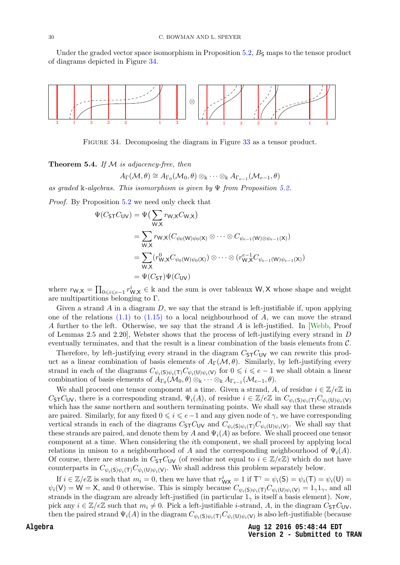Under the graded vector space isomorphism in Proposition  $5.2$ ,  $B<sub>S</sub>$  maps to the tensor product of diagrams depicted in Figure [34.](#page-29-1)



Figure 34. Decomposing the diagram in Figure [33](#page-28-0) as a tensor product.

Theorem 5.4. If  $M$  is adjacency-free, then

 $A_{\Gamma}(\mathcal{M}, \theta) \cong A_{\Gamma_0}(\mathcal{M}_0, \theta) \otimes_{\Bbbk} \cdots \otimes_{\Bbbk} A_{\Gamma_{e-1}}(\mathcal{M}_{e-1}, \theta)$ 

as graded k-algebras. This isomorphism is given by  $\Psi$  from Proposition [5.2.](#page-28-2)

Proof. By Proposition [5.2](#page-28-2) we need only check that

$$
\Psi(C_{\mathsf{ST}}C_{\mathsf{UV}}) = \Psi\left(\sum_{\mathsf{W},\mathsf{X}} r_{\mathsf{W},\mathsf{X}}C_{\mathsf{W},\mathsf{X}}\right)
$$
\n
$$
= \sum_{\mathsf{W},\mathsf{X}} r_{\mathsf{W},\mathsf{X}}(C_{\psi_0(\mathsf{W})\psi_0(\mathsf{X})} \otimes \cdots \otimes C_{\psi_{e-1}(\mathsf{W}) \otimes \psi_{e-1}(\mathsf{X})})
$$
\n
$$
= \sum_{\mathsf{W},\mathsf{X}} (r_{\mathsf{W},\mathsf{X}}^0 C_{\psi_0(\mathsf{W})\psi_0(\mathsf{X})}) \otimes \cdots \otimes (r_{\mathsf{W},\mathsf{X}}^{e-1} C_{\psi_{e-1}(\mathsf{W})\psi_{e-1}(\mathsf{X})})
$$
\n
$$
= \Psi(C_{\mathsf{ST}}) \Psi(C_{\mathsf{UV}})
$$

where  $r_{W,X} = \prod_{0 \leq i \leq e-1} r_{W,X}^i \in \mathbb{k}$  and the sum is over tableaux W, X whose shape and weight are multipartitions belonging to Γ.

Given a strand A in a diagram  $D$ , we say that the strand is left-justifiable if, upon applying one of the relations  $(1.1)$  to  $(1.15)$  to a local neighbourhood of A, we can move the strand A further to the left. Otherwise, we say that the strand A is left-justified. In [\[Webb,](#page-31-1) Proof of Lemmas 2.5 and 2.20], Webster shows that the process of left-justifying every strand in D eventually terminates, and that the result is a linear combination of the basis elements from C.

Therefore, by left-justifying every strand in the diagram  $C_{\sf ST}C_{\sf UV}$  we can rewrite this product as a linear combination of basis elements of  $A_{\Gamma}(\mathcal{M}, \theta)$ . Similarly, by left-justifying every strand in each of the diagrams  $C_{\psi_i(S)\psi_i(T)}C_{\psi_i(U)\psi_i(V)}$  for  $0 \leq i \leq e-1$  we shall obtain a linear combination of basis elements of  $A_{\Gamma_0}(\mathcal{M}_0, \theta) \otimes_{\Bbbk} \cdots \otimes_{\Bbbk} A_{\Gamma_{e-1}}(\mathcal{M}_{e-1}, \theta)$ .

We shall proceed one tensor component at a time. Given a strand, A, of residue  $i \in \mathbb{Z}/e\mathbb{Z}$  in C<sub>ST</sub>C<sub>UV</sub>, there is a corresponding strand,  $\Psi_i(A)$ , of residue  $i \in \mathbb{Z}/e\mathbb{Z}$  in  $C_{\psi_i(S)\psi_i(T)}C_{\psi_i(U)\psi_r(V)}$ which has the same northern and southern terminating points. We shall say that these strands are paired. Similarly, for any fixed  $0 \leq i \leq e-1$  and any given node of  $\gamma$ , we have corresponding vertical strands in each of the diagrams  $C_{\text{ST}}C_{\text{UV}}$  and  $C_{\psi_i(\text{S})\psi_i(\text{T})}C_{\psi_i(\text{U})\psi_i(\text{V})}$ . We shall say that these strands are paired, and denote them by A and  $\Psi_i(A)$  as before. We shall proceed one tensor component at a time. When considering the ith component, we shall proceed by applying local relations in unison to a neighbourhood of A and the corresponding neighbourhood of  $\Psi_i(A)$ . Of course, there are strands in  $C_{\text{ST}}C_{\text{UV}}$  (of residue not equal to  $i \in \mathbb{Z}/e\mathbb{Z}$ ) which do not have counterparts in  $C_{\psi_i(S)\psi_i(T)}C_{\psi_i(U)\psi_i(V)}$ . We shall address this problem separately below.

<span id="page-30-3"></span><span id="page-30-2"></span><span id="page-30-1"></span><span id="page-30-0"></span>If  $i \in \mathbb{Z}/e\mathbb{Z}$  is such that  $m_i = 0$ , then we have that  $r_{\mathsf{WX}}^i = 1$  if  $\mathsf{T}^\gamma = \psi_i(\mathsf{S}) = \psi_i(\mathsf{T}) = \psi_i(\mathsf{U}) =$  $\psi_i(\mathsf{V}) = \mathsf{W} = \mathsf{X}$ , and 0 otherwise. This is simply because  $C_{\psi_i(\mathsf{S})\psi_i(\mathsf{T})}C_{\psi_i(\mathsf{U})\psi_i(\mathsf{V})} = 1_{\gamma}\mathsf{1}_{\gamma}$ , and all strands in the diagram are already left-justified (in particular  $1<sub>\gamma</sub>$  is itself a basis element). Now, pick any  $i \in \mathbb{Z}/e\mathbb{Z}$  such that  $m_i \neq 0$ . Pick a left-justifiable *i*-strand, A, in the diagram  $C_{\text{ST}}C_{\text{UV}}$ , then the paired strand  $\Psi_i(A)$  in the diagram  $C_{\psi_i(S)\psi_i(T)}C_{\psi_i(\mathsf{U})\psi_i(\mathsf{V})}$  is also left-justifiable (because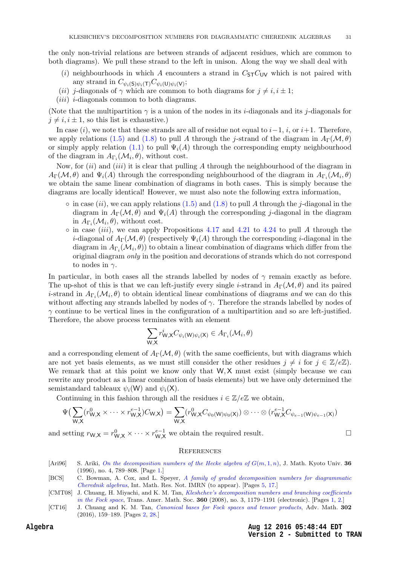<span id="page-31-10"></span><span id="page-31-7"></span>the only non-trivial relations are between strands of adjacent residues, which are common to both diagrams). We pull these strand to the left in unison. Along the way we shall deal with

- <span id="page-31-8"></span>(i) neighbourhoods in which A encounters a strand in  $C_{\text{ST}}C_{\text{UV}}$  which is not paired with any strand in  $C_{\psi_i(\mathsf{S})\psi_i(\mathsf{T})}C_{\psi_i(\mathsf{U})\psi_i(\mathsf{V})};$
- (ii) j-diagonals of  $\gamma$  which are common to both diagrams for  $j \neq i, i \pm 1$ ;
- <span id="page-31-5"></span> $(iii)$  *i*-diagonals common to both diagrams.

<span id="page-31-11"></span>(Note that the multipartition  $\gamma$  is a union of the nodes in its *i*-diagonals and its *j*-diagonals for  $j \neq i, i \pm 1$ , so this list is exhaustive.)

<span id="page-31-2"></span><span id="page-31-0"></span>In case  $(i)$ , we note that these strands are all of residue not equal to  $i-1$ ,  $i$ , or  $i+1$ . Therefore, we apply relations [\(1.5\)](#page-6-7) and [\(1.8\)](#page-6-4) to pull A through the j-strand of the diagram in  $A_{\Gamma}(\mathcal{M}, \theta)$ or simply apply relation [\(1.1\)](#page-5-3) to pull  $\Psi_i(A)$  through the corresponding empty neighbourhood of the diagram in  $A_{\Gamma_i}(\mathcal{M}_i, \theta)$ , without cost.

<span id="page-31-6"></span><span id="page-31-4"></span><span id="page-31-3"></span>Now, for  $(ii)$  and  $(iii)$  it is clear that pulling A through the neighbourhood of the diagram in  $A_\Gamma(\mathcal{M},\theta)$  and  $\Psi_i(A)$  through the corresponding neighbourhood of the diagram in  $A_{\Gamma_i}(\mathcal{M}_i,\theta)$ we obtain the same linear combination of diagrams in both cases. This is simply because the diagrams are locally identical! However, we must also note the following extra information,

- <span id="page-31-9"></span> $\circ$  in case (ii), we can apply relations [\(1.5\)](#page-6-7) and [\(1.8\)](#page-6-4) to pull A through the j-diagonal in the diagram in  $A_{\Gamma}(\mathcal{M}, \theta)$  and  $\Psi_i(A)$  through the corresponding j-diagonal in the diagram in  $A_{\Gamma_i}(\mathcal{M}_i, \theta)$ , without cost.
- <span id="page-31-1"></span> $\circ$  in case (iii), we can apply Propositions [4.17](#page-19-3) and [4.21](#page-21-1) to [4.24](#page-23-3) to pull A through the *i*-diagonal of  $A_{\Gamma}(\mathcal{M}, \theta)$  (respectively  $\Psi_i(A)$  through the corresponding *i*-diagonal in the diagram in  $A_{\Gamma_i}(\mathcal{M}_i, \theta)$  to obtain a linear combination of diagrams which differ from the original diagram only in the position and decorations of strands which do not correspond to nodes in  $\gamma$ .

In particular, in both cases all the strands labelled by nodes of  $\gamma$  remain exactly as before. The up-shot of this is that we can left-justify every single *i*-strand in  $A_{\Gamma}(\mathcal{M}, \theta)$  and its paired *i*-strand in  $A_{\Gamma_i}(\mathcal{M}_i, \theta)$  to obtain identical linear combinations of diagrams and we can do this without affecting any strands labelled by nodes of  $\gamma$ . Therefore the strands labelled by nodes of  $\gamma$  continue to be vertical lines in the configuration of a multipartition and so are left-justified. Therefore, the above process terminates with an element

$$
\sum_{\mathsf{W},\mathsf{X}} r_{\mathsf{W},\mathsf{X}}^i C_{\psi_i(\mathsf{W})\psi_i(\mathsf{X})} \in A_{\Gamma_i}(\mathcal{M}_i,\theta)
$$

and a corresponding element of  $A_{\Gamma}(\mathcal{M}, \theta)$  (with the same coefficients, but with diagrams which are not yet basis elements, as we must still consider the other residues  $j \neq i$  for  $j \in \mathbb{Z}/e\mathbb{Z}$ . We remark that at this point we know only that  $W, X$  must exist (simply because we can rewrite any product as a linear combination of basis elements) but we have only determined the semistandard tableaux  $\psi_i(\mathsf{W})$  and  $\psi_i(\mathsf{X})$ .

Continuing in this fashion through all the residues  $i \in \mathbb{Z}/e\mathbb{Z}$  we obtain,

$$
\Psi\left(\sum_{\mathsf{W},\mathsf{X}}(r_{\mathsf{W},\mathsf{X}}^{0} \times \cdots \times r_{\mathsf{W},\mathsf{X}}^{e-1})C_{\mathsf{W},\mathsf{X}}\right) = \sum_{\mathsf{W},\mathsf{X}}(r_{\mathsf{W},\mathsf{X}}^{0}C_{\psi_{0}(\mathsf{W})\psi_{0}(\mathsf{X})}) \otimes \cdots \otimes (r_{\mathsf{W},\mathsf{X}}^{e-1}C_{\psi_{e-1}(\mathsf{W})\psi_{e-1}(\mathsf{X})})
$$

and setting  $r_{W,X} = r_{W,X}^0 \times \cdots \times r_{W,X}^{e-1}$  we obtain the required result.

#### **REFERENCES**

- [Ari96] S. Ariki, [On the decomposition numbers of the Hecke algebra of](http://projecteuclid.org/euclid.kjm/1250518452)  $G(m, 1, n)$ , J. Math. Kyoto Univ. 36 (1996), no. 4, 789–808. [Page [1.](#page-0-0)]
- [BCS] C. Bowman, A. Cox, and L. Speyer, [A family of graded decomposition numbers for diagrammatic](http://dx.doi.org/10.1093/imrn/rnw101) [Cherednik algebras](http://dx.doi.org/10.1093/imrn/rnw101), Int. Math. Res. Not. IMRN (to appear). [Pages [5,](#page-4-2) [17.](#page-16-1)]
- [CMT08] J. Chuang, H. Miyachi, and K. M. Tan, [Kleshchev's decomposition numbers and branching coefficients](http://dx.doi.org/10.1090/S0002-9947-07-04202-X) [in the Fock space](http://dx.doi.org/10.1090/S0002-9947-07-04202-X), Trans. Amer. Math. Soc.  $360$  (2008), no. 3, 1179–1191 (electronic). [Pages [1,](#page-0-0) [2.](#page-1-2)]
- [CT16] J. Chuang and K. M. Tan, *[Canonical bases for Fock spaces and tensor products](http://dx.doi.org/10.1016/j.aim.2016.07.008)*, Adv. Math. 302 (2016), 159–189. [Pages [2,](#page-1-2) [28.](#page-27-3)]